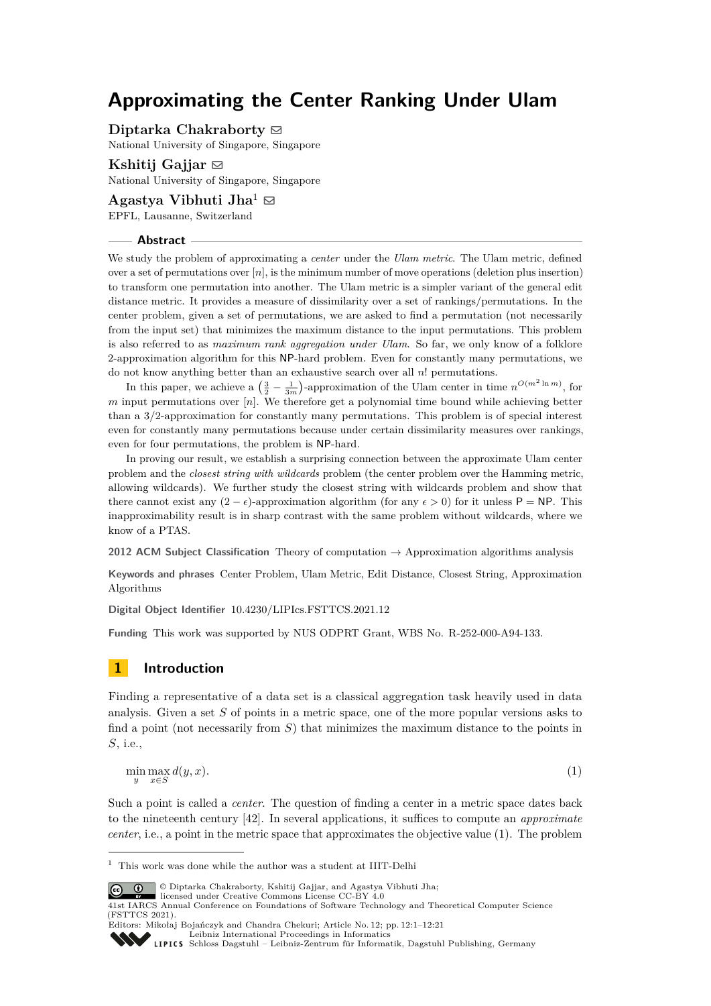# **Approximating the Center Ranking Under Ulam**

**Diptarka Chakraborty**  $\odot$ 

National University of Singapore, Singapore

**Kshitij Gajjar** [#](mailto:kshitijgajjar@gmail.com) National University of Singapore, Singapore

**Agastya Vibhuti Jha**<sup>1</sup>  $\boxtimes$ EPFL, Lausanne, Switzerland

#### **Abstract**

We study the problem of approximating a *center* under the *Ulam metric*. The Ulam metric, defined over a set of permutations over [*n*], is the minimum number of move operations (deletion plus insertion) to transform one permutation into another. The Ulam metric is a simpler variant of the general edit distance metric. It provides a measure of dissimilarity over a set of rankings/permutations. In the center problem, given a set of permutations, we are asked to find a permutation (not necessarily from the input set) that minimizes the maximum distance to the input permutations. This problem is also referred to as *maximum rank aggregation under Ulam*. So far, we only know of a folklore 2-approximation algorithm for this NP-hard problem. Even for constantly many permutations, we do not know anything better than an exhaustive search over all *n*! permutations.

In this paper, we achieve a  $\left(\frac{3}{2} - \frac{1}{3m}\right)$ -approximation of the Ulam center in time  $n^{O(m^2 \ln m)}$ , for *m* input permutations over [*n*]. We therefore get a polynomial time bound while achieving better than a 3*/*2-approximation for constantly many permutations. This problem is of special interest even for constantly many permutations because under certain dissimilarity measures over rankings, even for four permutations, the problem is NP-hard.

In proving our result, we establish a surprising connection between the approximate Ulam center problem and the *closest string with wildcards* problem (the center problem over the Hamming metric, allowing wildcards). We further study the closest string with wildcards problem and show that there cannot exist any  $(2 - \epsilon)$ -approximation algorithm (for any  $\epsilon > 0$ ) for it unless P = NP. This inapproximability result is in sharp contrast with the same problem without wildcards, where we know of a PTAS.

**2012 ACM Subject Classification** Theory of computation → Approximation algorithms analysis

**Keywords and phrases** Center Problem, Ulam Metric, Edit Distance, Closest String, Approximation Algorithms

**Digital Object Identifier** [10.4230/LIPIcs.FSTTCS.2021.12](https://doi.org/10.4230/LIPIcs.FSTTCS.2021.12)

**Funding** This work was supported by NUS ODPRT Grant, WBS No. R-252-000-A94-133.

# **1 Introduction**

Finding a representative of a data set is a classical aggregation task heavily used in data analysis. Given a set *S* of points in a metric space, one of the more popular versions asks to find a point (not necessarily from *S*) that minimizes the maximum distance to the points in *S*, i.e.,

<span id="page-0-0"></span>
$$
\min_{y} \max_{x \in S} d(y, x). \tag{1}
$$

Such a point is called a *center*. The question of finding a center in a metric space dates back to the nineteenth century [\[42\]](#page-17-0). In several applications, it suffices to compute an *approximate center*, i.e., a point in the metric space that approximates the objective value [\(1\)](#page-0-0). The problem

 $^{\rm 1}$  This work was done while the author was a student at IIIT-Delhi



 $\begin{array}{|c|c|} \hline \textbf{\textcircled{0}} & \textbf{\textcircled{0}} & \text{Diptarka Chakraborty, Kshitij Gajjar, and Agastya Vibhuti Jha;} \\\hline \end{array}$ 

Editors: Mikołaj Bojańczyk and Chandra Chekuri; Article No. 12; pp. 12:1–12:21

[Schloss Dagstuhl – Leibniz-Zentrum für Informatik, Dagstuhl Publishing, Germany](https://www.dagstuhl.de)

licensed under Creative Commons License CC-BY 4.0 41st IARCS Annual Conference on Foundations of Software Technology and Theoretical Computer Science (FSTTCS 2021).

[Leibniz International Proceedings in Informatics](https://www.dagstuhl.de/lipics/)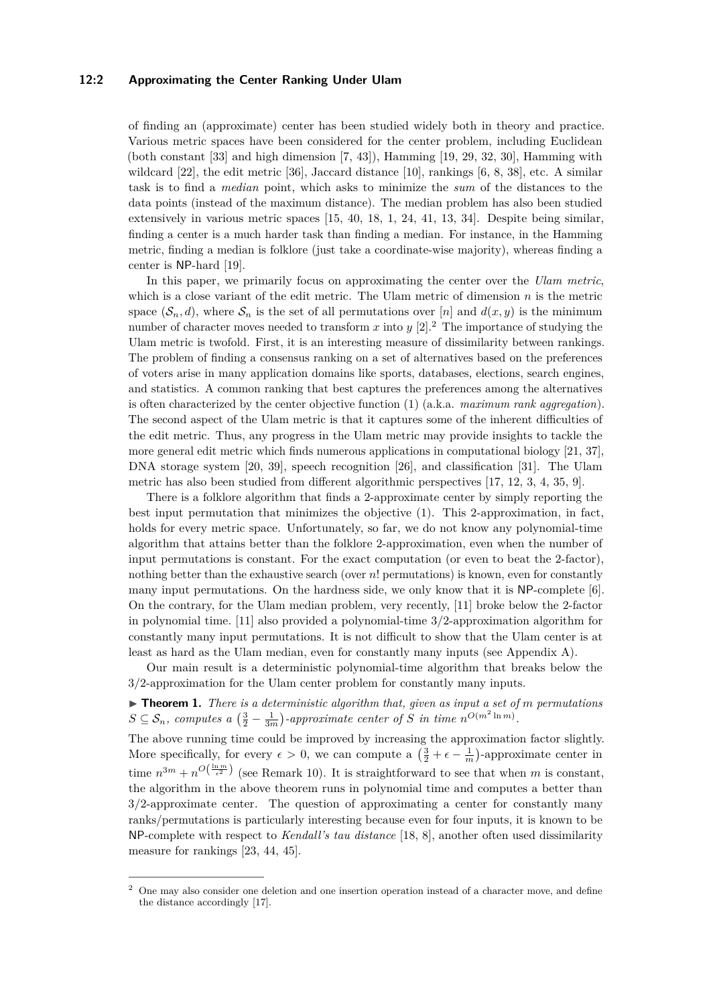#### **12:2 Approximating the Center Ranking Under Ulam**

of finding an (approximate) center has been studied widely both in theory and practice. Various metric spaces have been considered for the center problem, including Euclidean (both constant  $[33]$  and high dimension  $[7, 43]$  $[7, 43]$  $[7, 43]$ ), Hamming  $[19, 29, 32, 30]$  $[19, 29, 32, 30]$  $[19, 29, 32, 30]$  $[19, 29, 32, 30]$  $[19, 29, 32, 30]$  $[19, 29, 32, 30]$  $[19, 29, 32, 30]$ , Hamming with wildcard [\[22\]](#page-16-3), the edit metric [\[36\]](#page-17-4), Jaccard distance [\[10\]](#page-15-1), rankings [\[6,](#page-15-2) [8,](#page-15-3) [38\]](#page-17-5), etc. A similar task is to find a *median* point, which asks to minimize the *sum* of the distances to the data points (instead of the maximum distance). The median problem has also been studied extensively in various metric spaces [\[15,](#page-16-4) [40,](#page-17-6) [18,](#page-16-5) [1,](#page-15-4) [24,](#page-16-6) [41,](#page-17-7) [13,](#page-16-7) [34\]](#page-17-8). Despite being similar, finding a center is a much harder task than finding a median. For instance, in the Hamming metric, finding a median is folklore (just take a coordinate-wise majority), whereas finding a center is NP-hard [\[19\]](#page-16-0).

In this paper, we primarily focus on approximating the center over the *Ulam metric*, which is a close variant of the edit metric. The Ulam metric of dimension *n* is the metric space  $(\mathcal{S}_n, d)$ , where  $\mathcal{S}_n$  is the set of all permutations over [*n*] and  $d(x, y)$  is the minimum number of character moves needed to transform  $x$  into  $y$  [\[2\]](#page-15-5).<sup>[2](#page-1-0)</sup> The importance of studying the Ulam metric is twofold. First, it is an interesting measure of dissimilarity between rankings. The problem of finding a consensus ranking on a set of alternatives based on the preferences of voters arise in many application domains like sports, databases, elections, search engines, and statistics. A common ranking that best captures the preferences among the alternatives is often characterized by the center objective function [\(1\)](#page-0-0) (a.k.a. *maximum rank aggregation*). The second aspect of the Ulam metric is that it captures some of the inherent difficulties of the edit metric. Thus, any progress in the Ulam metric may provide insights to tackle the more general edit metric which finds numerous applications in computational biology [\[21,](#page-16-8) [37\]](#page-17-9), DNA storage system [\[20,](#page-16-9) [39\]](#page-17-10), speech recognition [\[26\]](#page-16-10), and classification [\[31\]](#page-16-11). The Ulam metric has also been studied from different algorithmic perspectives [\[17,](#page-16-12) [12,](#page-16-13) [3,](#page-15-6) [4,](#page-15-7) [35,](#page-17-11) [9\]](#page-15-8).

There is a folklore algorithm that finds a 2-approximate center by simply reporting the best input permutation that minimizes the objective [\(1\)](#page-0-0). This 2-approximation, in fact, holds for every metric space. Unfortunately, so far, we do not know any polynomial-time algorithm that attains better than the folklore 2-approximation, even when the number of input permutations is constant. For the exact computation (or even to beat the 2-factor), nothing better than the exhaustive search (over *n*! permutations) is known, even for constantly many input permutations. On the hardness side, we only know that it is NP-complete [\[6\]](#page-15-2). On the contrary, for the Ulam median problem, very recently, [\[11\]](#page-16-14) broke below the 2-factor in polynomial time. [\[11\]](#page-16-14) also provided a polynomial-time 3/2-approximation algorithm for constantly many input permutations. It is not difficult to show that the Ulam center is at least as hard as the Ulam median, even for constantly many inputs (see [Appendix A\)](#page-17-12).

Our main result is a deterministic polynomial-time algorithm that breaks below the 3/2-approximation for the Ulam center problem for constantly many inputs.

<span id="page-1-1"></span> $\triangleright$  **Theorem 1.** *There is a deterministic algorithm that, given as input a set of m permutations*  $S \subseteq \mathcal{S}_n$ , computes a  $\left(\frac{3}{2} - \frac{1}{3m}\right)$ -approximate center of *S* in time  $n^{O(m^2 \ln m)}$ .

The above running time could be improved by increasing the approximation factor slightly. More specifically, for every  $\epsilon > 0$ , we can compute a  $\left(\frac{3}{2} + \epsilon - \frac{1}{m}\right)$ -approximate center in time  $n^{3m} + n^{O(\frac{\ln m}{\epsilon^2})}$  (see [Remark 10\)](#page-12-0). It is straightforward to see that when *m* is constant, the algorithm in the above theorem runs in polynomial time and computes a better than 3/2-approximate center. The question of approximating a center for constantly many ranks/permutations is particularly interesting because even for four inputs, it is known to be NP-complete with respect to *Kendall's tau distance* [\[18,](#page-16-5) [8\]](#page-15-3), another often used dissimilarity measure for rankings [\[23,](#page-16-15) [44,](#page-17-13) [45\]](#page-17-14).

<span id="page-1-0"></span><sup>2</sup> One may also consider one deletion and one insertion operation instead of a character move, and define the distance accordingly [\[17\]](#page-16-12).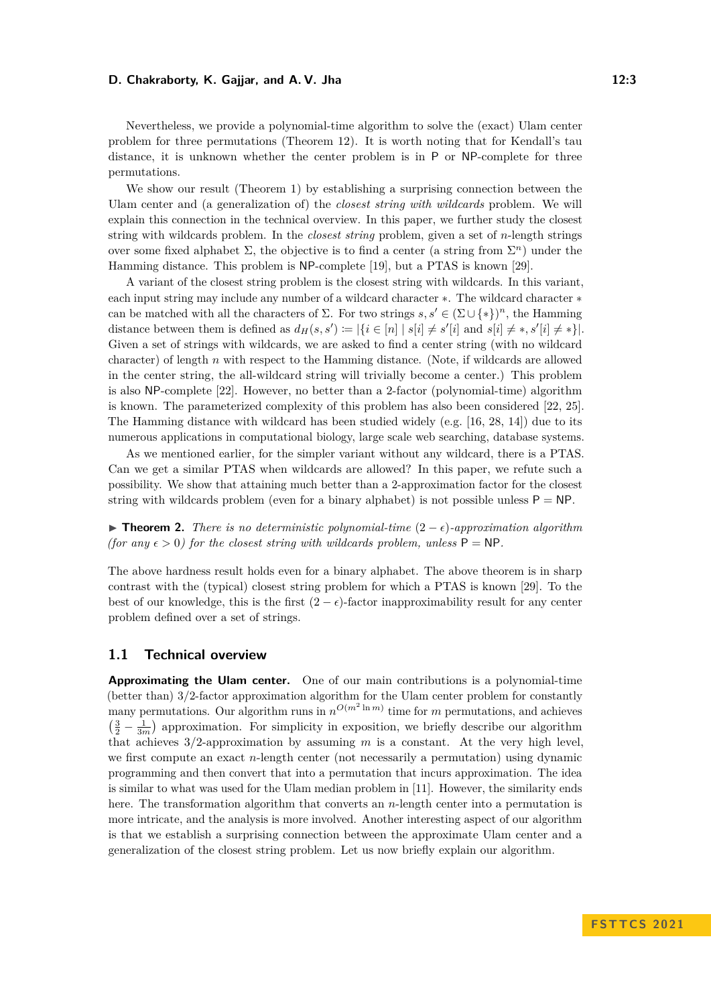Nevertheless, we provide a polynomial-time algorithm to solve the (exact) Ulam center problem for three permutations [\(Theorem 12\)](#page-13-0). It is worth noting that for Kendall's tau distance, it is unknown whether the center problem is in P or NP-complete for three permutations.

We show our result [\(Theorem 1\)](#page-1-1) by establishing a surprising connection between the Ulam center and (a generalization of) the *closest string with wildcards* problem. We will explain this connection in the technical overview. In this paper, we further study the closest string with wildcards problem. In the *closest string* problem, given a set of *n*-length strings over some fixed alphabet  $\Sigma$ , the objective is to find a center (a string from  $\Sigma<sup>n</sup>$ ) under the Hamming distance. This problem is NP-complete [\[19\]](#page-16-0), but a PTAS is known [\[29\]](#page-16-1).

A variant of the closest string problem is the closest string with wildcards. In this variant, each input string may include any number of a wildcard character ∗. The wildcard character ∗ can be matched with all the characters of  $\Sigma$ . For two strings  $s, s' \in (\Sigma \cup \{*\})^n$ , the Hamming distance between them is defined as  $d_H(s, s') := |\{i \in [n] \mid s[i] \neq s'[i] \text{ and } s[i] \neq s, s'[i] \neq * \}|.$ Given a set of strings with wildcards, we are asked to find a center string (with no wildcard character) of length *n* with respect to the Hamming distance. (Note, if wildcards are allowed in the center string, the all-wildcard string will trivially become a center.) This problem is also NP-complete [\[22\]](#page-16-3). However, no better than a 2-factor (polynomial-time) algorithm is known. The parameterized complexity of this problem has also been considered [\[22,](#page-16-3) [25\]](#page-16-16). The Hamming distance with wildcard has been studied widely (e.g. [\[16,](#page-16-17) [28,](#page-16-18) [14\]](#page-16-19)) due to its numerous applications in computational biology, large scale web searching, database systems.

As we mentioned earlier, for the simpler variant without any wildcard, there is a PTAS. Can we get a similar PTAS when wildcards are allowed? In this paper, we refute such a possibility. We show that attaining much better than a 2-approximation factor for the closest string with wildcards problem (even for a binary alphabet) is not possible unless  $P = NP$ .

<span id="page-2-0"></span>▶ **Theorem 2.** *There is no deterministic polynomial-time* (2 − *ϵ*)*-approximation algorithm (for any*  $\epsilon > 0$ *) for the closest string with wildcards problem, unless*  $P = NP$ *.* 

The above hardness result holds even for a binary alphabet. The above theorem is in sharp contrast with the (typical) closest string problem for which a PTAS is known [\[29\]](#page-16-1). To the best of our knowledge, this is the first  $(2 - \epsilon)$ -factor inapproximability result for any center problem defined over a set of strings.

### **1.1 Technical overview**

**Approximating the Ulam center.** One of our main contributions is a polynomial-time (better than) 3*/*2-factor approximation algorithm for the Ulam center problem for constantly many permutations. Our algorithm runs in  $n^{O(m^2 \ln m)}$  time for *m* permutations, and achieves  $\left(\frac{3}{2} - \frac{1}{3m}\right)$  approximation. For simplicity in exposition, we briefly describe our algorithm that achieves 3*/*2-approximation by assuming *m* is a constant. At the very high level, we first compute an exact *n*-length center (not necessarily a permutation) using dynamic programming and then convert that into a permutation that incurs approximation. The idea is similar to what was used for the Ulam median problem in [\[11\]](#page-16-14). However, the similarity ends here. The transformation algorithm that converts an *n*-length center into a permutation is more intricate, and the analysis is more involved. Another interesting aspect of our algorithm is that we establish a surprising connection between the approximate Ulam center and a generalization of the closest string problem. Let us now briefly explain our algorithm.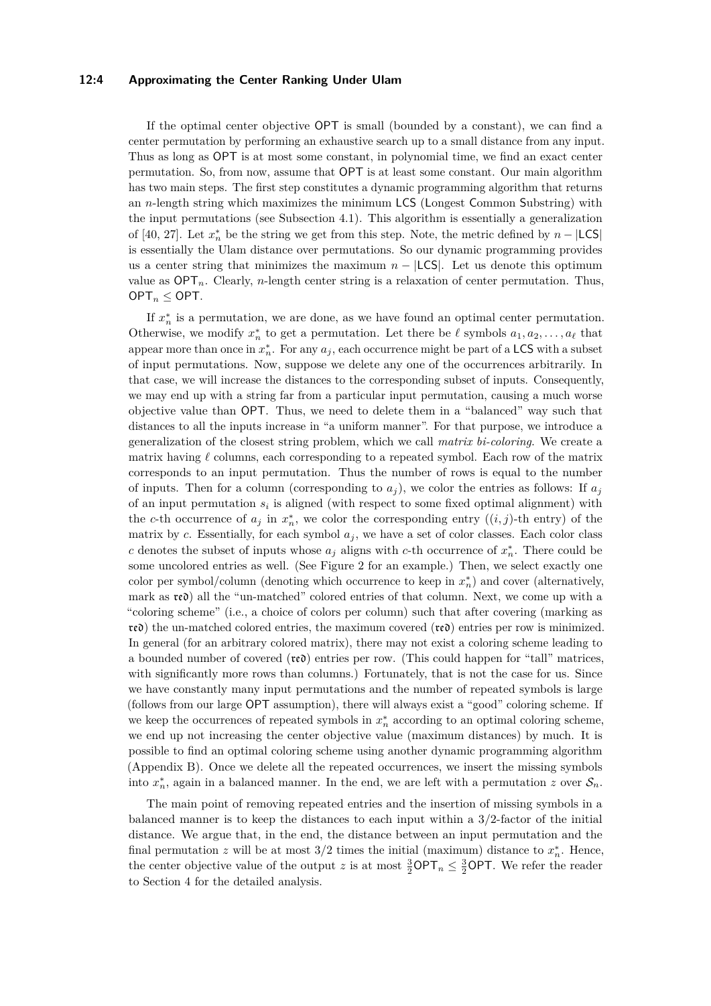#### **12:4 Approximating the Center Ranking Under Ulam**

If the optimal center objective OPT is small (bounded by a constant), we can find a center permutation by performing an exhaustive search up to a small distance from any input. Thus as long as OPT is at most some constant, in polynomial time, we find an exact center permutation. So, from now, assume that OPT is at least some constant. Our main algorithm has two main steps. The first step constitutes a dynamic programming algorithm that returns an *n*-length string which maximizes the minimum LCS (Longest Common Substring) with the input permutations (see [Subsection 4.1\)](#page-9-0). This algorithm is essentially a generalization of [\[40,](#page-17-6) [27\]](#page-16-20). Let  $x_n^*$  be the string we get from this step. Note, the metric defined by  $n - |$ LCS| is essentially the Ulam distance over permutations. So our dynamic programming provides us a center string that minimizes the maximum  $n - |LCS|$ . Let us denote this optimum value as  $\mathsf{OPT}_n$ . Clearly, *n*-length center string is a relaxation of center permutation. Thus,  $OPT_n \leq OPT$ .

If  $x_n^*$  is a permutation, we are done, as we have found an optimal center permutation. Otherwise, we modify  $x_n^*$  to get a permutation. Let there be  $\ell$  symbols  $a_1, a_2, \ldots, a_\ell$  that appear more than once in  $x_n^*$ . For any  $a_j$ , each occurrence might be part of a LCS with a subset of input permutations. Now, suppose we delete any one of the occurrences arbitrarily. In that case, we will increase the distances to the corresponding subset of inputs. Consequently, we may end up with a string far from a particular input permutation, causing a much worse objective value than OPT. Thus, we need to delete them in a "balanced" way such that distances to all the inputs increase in "a uniform manner". For that purpose, we introduce a generalization of the closest string problem, which we call *matrix bi-coloring*. We create a matrix having *ℓ* columns, each corresponding to a repeated symbol. Each row of the matrix corresponds to an input permutation. Thus the number of rows is equal to the number of inputs. Then for a column (corresponding to  $a_j$ ), we color the entries as follows: If  $a_j$ of an input permutation *s<sup>i</sup>* is aligned (with respect to some fixed optimal alignment) with the *c*-th occurrence of  $a_j$  in  $x_n^*$ , we color the corresponding entry  $((i, j)$ -th entry) of the matrix by *c*. Essentially, for each symbol  $a_j$ , we have a set of color classes. Each color class *c* denotes the subset of inputs whose  $a_j$  aligns with *c*-th occurrence of  $x_n^*$ . There could be some uncolored entries as well. (See [Figure 2](#page-4-0) for an example.) Then, we select exactly one color per symbol/column (denoting which occurrence to keep in  $x_n^*$ ) and cover (alternatively, mark as red) all the "un-matched" colored entries of that column. Next, we come up with a "coloring scheme" (i.e., a choice of colors per column) such that after covering (marking as  $r\epsilon\mathbf{d}$ ) the un-matched colored entries, the maximum covered  $(r\epsilon\mathbf{d})$  entries per row is minimized. In general (for an arbitrary colored matrix), there may not exist a coloring scheme leading to a bounded number of covered (red) entries per row. (This could happen for "tall" matrices, with significantly more rows than columns.) Fortunately, that is not the case for us. Since we have constantly many input permutations and the number of repeated symbols is large (follows from our large OPT assumption), there will always exist a "good" coloring scheme. If we keep the occurrences of repeated symbols in  $x_n^*$  according to an optimal coloring scheme, we end up not increasing the center objective value (maximum distances) by much. It is possible to find an optimal coloring scheme using another dynamic programming algorithm [\(Appendix B\)](#page-18-0). Once we delete all the repeated occurrences, we insert the missing symbols into  $x_n^*$ , again in a balanced manner. In the end, we are left with a permutation *z* over  $S_n$ .

The main point of removing repeated entries and the insertion of missing symbols in a balanced manner is to keep the distances to each input within a 3*/*2-factor of the initial distance. We argue that, in the end, the distance between an input permutation and the final permutation *z* will be at most  $3/2$  times the initial (maximum) distance to  $x_n^*$ . Hence, the center objective value of the output *z* is at most  $\frac{3}{2}$ OPT<sub>*n*</sub>  $\leq \frac{3}{2}$ OPT. We refer the reader to [Section 4](#page-8-0) for the detailed analysis.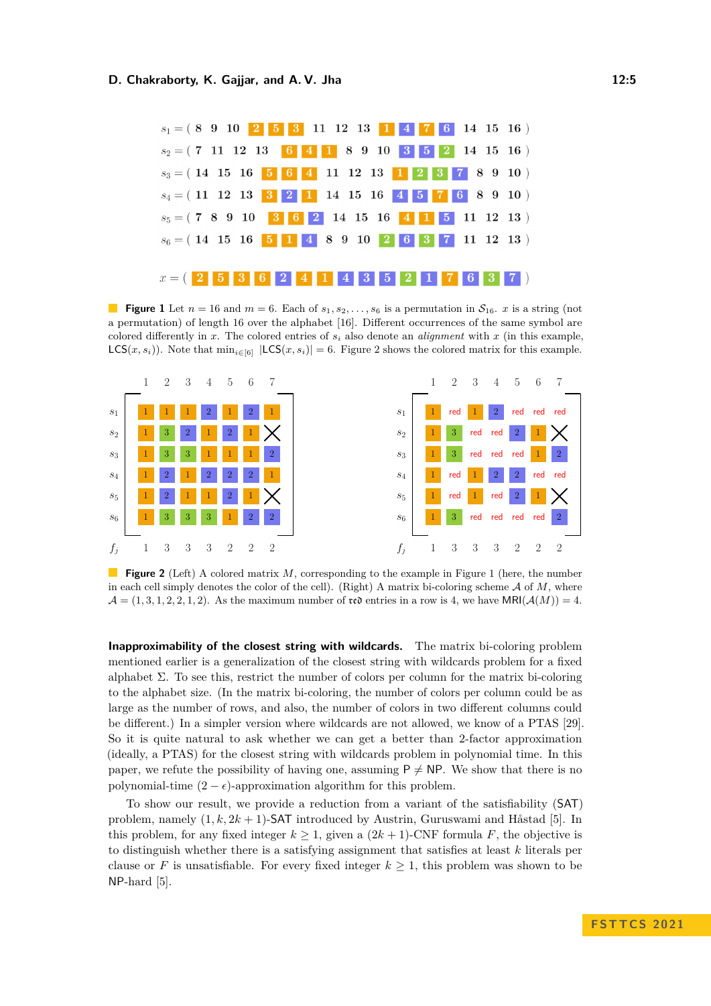<span id="page-4-1"></span>

**Figure 1** Let  $n = 16$  and  $m = 6$ . Each of  $s_1, s_2, \ldots, s_6$  is a permutation in  $S_{16}$ . *x* is a string (not a permutation) of length 16 over the alphabet [16]. Different occurrences of the same symbol are colored differently in  $x$ . The colored entries of  $s_i$  also denote an *alignment* with  $x$  (in this example,  $LCS(x, s_i)$ ). Note that  $\min_{i \in [6]} |LCS(x, s_i)| = 6$ . [Figure 2](#page-4-0) shows the colored matrix for this example.

<span id="page-4-0"></span>

**Figure 2** (Left) A colored matrix *M*, corresponding to the example in [Figure 1](#page-4-1) (here, the number in each cell simply denotes the color of the cell). (Right) A matrix bi-coloring scheme A of *M*, where  $\mathcal{A} = (1, 3, 1, 2, 2, 1, 2)$ . As the maximum number of red entries in a row is 4, we have  $MRI(\mathcal{A}(M)) = 4$ .

**Inapproximability of the closest string with wildcards.** The matrix bi-coloring problem mentioned earlier is a generalization of the closest string with wildcards problem for a fixed alphabet  $\Sigma$ . To see this, restrict the number of colors per column for the matrix bi-coloring to the alphabet size. (In the matrix bi-coloring, the number of colors per column could be as large as the number of rows, and also, the number of colors in two different columns could be different.) In a simpler version where wildcards are not allowed, we know of a PTAS [\[29\]](#page-16-1). So it is quite natural to ask whether we can get a better than 2-factor approximation (ideally, a PTAS) for the closest string with wildcards problem in polynomial time. In this paper, we refute the possibility of having one, assuming  $P \neq NP$ . We show that there is no polynomial-time  $(2 - \epsilon)$ -approximation algorithm for this problem.

To show our result, we provide a reduction from a variant of the satisfiability (SAT) problem, namely (1*, k,* 2*k* + 1)-SAT introduced by Austrin, Guruswami and Håstad [\[5\]](#page-15-9). In this problem, for any fixed integer  $k \geq 1$ , given a  $(2k + 1)$ -CNF formula *F*, the objective is to distinguish whether there is a satisfying assignment that satisfies at least *k* literals per clause or *F* is unsatisfiable. For every fixed integer  $k \geq 1$ , this problem was shown to be NP-hard [\[5\]](#page-15-9).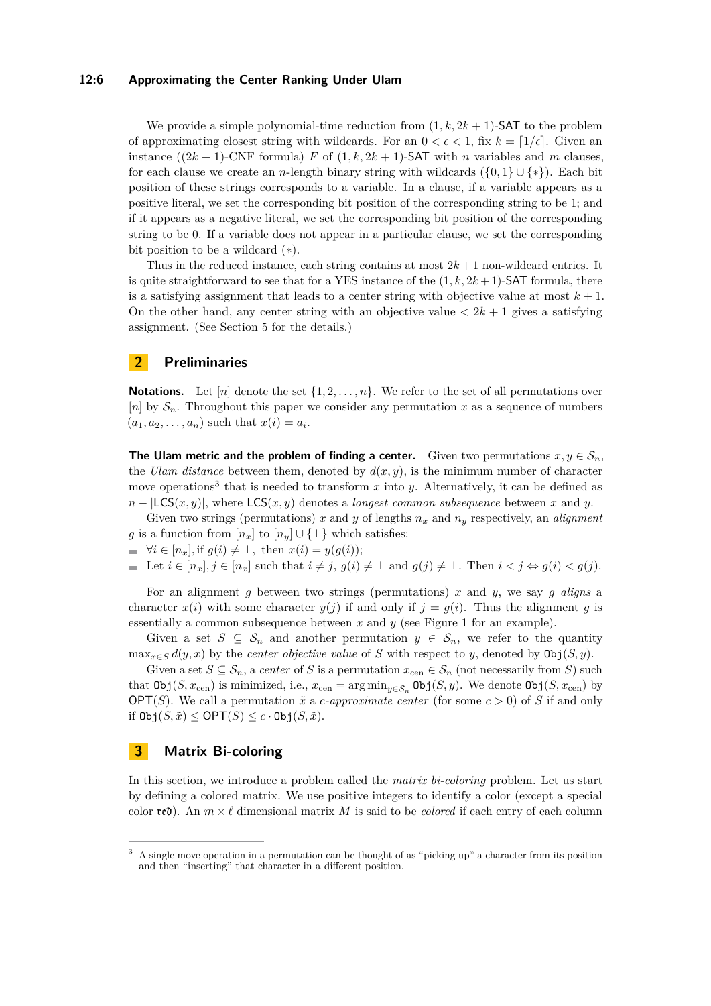#### **12:6 Approximating the Center Ranking Under Ulam**

We provide a simple polynomial-time reduction from  $(1, k, 2k + 1)$ -SAT to the problem of approximating closest string with wildcards. For an  $0 < \epsilon < 1$ , fix  $k = \lfloor 1/\epsilon \rfloor$ . Given an instance  $((2k+1)$ -CNF formula) *F* of  $(1, k, 2k+1)$ -SAT with *n* variables and *m* clauses, for each clause we create an *n*-length binary string with wildcards  $({0, 1} \cup {*})$ . Each bit position of these strings corresponds to a variable. In a clause, if a variable appears as a positive literal, we set the corresponding bit position of the corresponding string to be 1; and if it appears as a negative literal, we set the corresponding bit position of the corresponding string to be 0. If a variable does not appear in a particular clause, we set the corresponding bit position to be a wildcard (∗).

Thus in the reduced instance, each string contains at most  $2k+1$  non-wildcard entries. It is quite straightforward to see that for a YES instance of the  $(1, k, 2k + 1)$ -SAT formula, there is a satisfying assignment that leads to a center string with objective value at most  $k + 1$ . On the other hand, any center string with an objective value  $\langle 2k+1 \rangle$  gives a satisfying assignment. (See [Section 5](#page-14-0) for the details.)

# **2 Preliminaries**

**Notations.** Let  $[n]$  denote the set  $\{1, 2, \ldots, n\}$ . We refer to the set of all permutations over [*n*] by  $S_n$ . Throughout this paper we consider any permutation *x* as a sequence of numbers  $(a_1, a_2, \ldots, a_n)$  such that  $x(i) = a_i$ .

**The Ulam metric and the problem of finding a center.** Given two permutations  $x, y \in S_n$ , the *Ulam distance* between them, denoted by  $d(x, y)$ , is the minimum number of character move operations<sup>[3](#page-5-0)</sup> that is needed to transform  $x$  into  $y$ . Alternatively, it can be defined as  $n - |LCS(x, y)|$ , where  $LCS(x, y)$  denotes a *longest common subsequence* between x and y.

Given two strings (permutations) x and y of lengths  $n_x$  and  $n_y$  respectively, an *alignment g* is a function from  $[n_x]$  to  $[n_y] \cup {\{\perp\}}$  which satisfies:

 $\forall i \in [n_x]$ , if  $g(i) \neq \bot$ , then  $x(i) = y(g(i))$ ;

Let 
$$
i \in [n_x], j \in [n_x]
$$
 such that  $i \neq j$ ,  $g(i) \neq \bot$  and  $g(j) \neq \bot$ . Then  $i < j \Leftrightarrow g(i) < g(j)$ .

For an alignment *g* between two strings (permutations) *x* and *y*, we say *g aligns* a character  $x(i)$  with some character  $y(j)$  if and only if  $j = g(i)$ . Thus the alignment g is essentially a common subsequence between *x* and *y* (see [Figure 1](#page-4-1) for an example).

Given a set  $S \subseteq S_n$  and another permutation  $y \in S_n$ , we refer to the quantity  $\max_{x \in S} d(y, x)$  by the *center objective value* of *S* with respect to *y*, denoted by  $\text{Obj}(S, y)$ .

Given a set  $S \subseteq \mathcal{S}_n$ , a *center* of *S* is a permutation  $x_{\text{cen}} \in \mathcal{S}_n$  (not necessarily from *S*) such that  $\text{Obj}(S, x_{\text{cen}})$  is minimized, i.e.,  $x_{\text{cen}} = \arg \min_{y \in S_n} \text{Obj}(S, y)$ . We denote  $\text{Obj}(S, x_{\text{cen}})$  by OPT(*S*). We call a permutation  $\tilde{x}$  a *c*-approximate center (for some  $c > 0$ ) of *S* if and only if  $\text{Obj}(S, \tilde{x}) \le \text{OPT}(S) \le c \cdot \text{Obj}(S, \tilde{x})$ .

# <span id="page-5-1"></span>**3 Matrix Bi-coloring**

In this section, we introduce a problem called the *matrix bi-coloring* problem. Let us start by defining a colored matrix. We use positive integers to identify a color (except a special color  $\mathfrak{re}$ ). An  $m \times \ell$  dimensional matrix M is said to be *colored* if each entry of each column

<span id="page-5-0"></span><sup>&</sup>lt;sup>3</sup> A single move operation in a permutation can be thought of as "picking up" a character from its position and then "inserting" that character in a different position.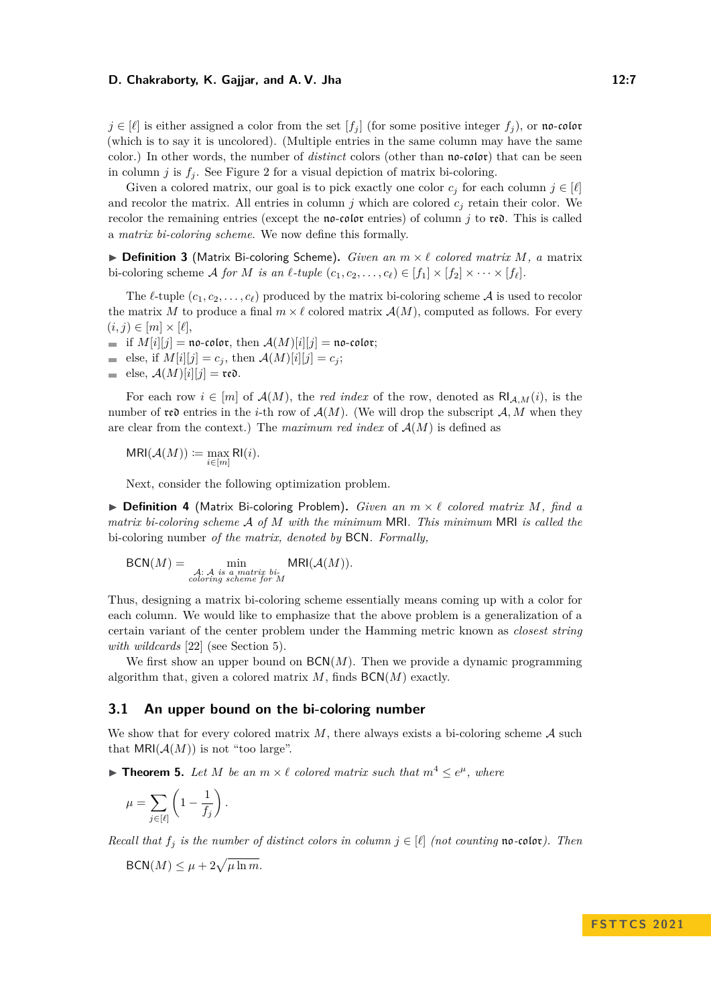$j \in [\ell]$  is either assigned a color from the set  $[f_i]$  (for some positive integer  $f_i$ ), or no-color (which is to say it is uncolored). (Multiple entries in the same column may have the same color.) In other words, the number of *distinct* colors (other than no-color) that can be seen in column *j* is  $f_i$ . See [Figure 2](#page-4-0) for a visual depiction of matrix bi-coloring.

Given a colored matrix, our goal is to pick exactly one color  $c_j$  for each column  $j \in [\ell]$ and recolor the matrix. All entries in column  $j$  which are colored  $c_j$  retain their color. We recolor the remaining entries (except the no-color entries) of column *j* to red. This is called a *matrix bi-coloring scheme*. We now define this formally.

▶ **Definition 3** (Matrix Bi-coloring Scheme)**.** *Given an m* × *ℓ colored matrix M, a* matrix bi-coloring scheme A for M is an  $\ell$ -tuple  $(c_1, c_2, \ldots, c_\ell) \in [f_1] \times [f_2] \times \cdots \times [f_\ell]$ .

The  $\ell$ -tuple  $(c_1, c_2, \ldots, c_\ell)$  produced by the matrix bi-coloring scheme A is used to recolor the matrix *M* to produce a final  $m \times \ell$  colored matrix  $\mathcal{A}(M)$ , computed as follows. For every  $(i, j) \in [m] \times [\ell],$ 

if  $M[i][j] = \mathfrak{no}\text{-}\mathfrak{color}, \text{ then } \mathcal{A}(M)[i][j] = \mathfrak{no}\text{-}\mathfrak{color};$ 

- $\blacksquare$  else, if  $M[i][j] = c_j$ , then  $\mathcal{A}(M)[i][j] = c_j$ ;
- else,  $\mathcal{A}(M)[i][j] = \text{rec.}$

For each row  $i \in [m]$  of  $\mathcal{A}(M)$ , the *red index* of the row, denoted as  $\mathsf{RI}_{\mathcal{A},M}(i)$ , is the number of **red** entries in the *i*-th row of  $\mathcal{A}(M)$ . (We will drop the subscript  $\mathcal{A}, M$  when they are clear from the context.) The *maximum red index* of  $A(M)$  is defined as

 $MRI(\mathcal{A}(M)) \coloneqq \max_{i \in [m]} RI(i).$ 

Next, consider the following optimization problem.

▶ **Definition 4** (Matrix Bi-coloring Problem)**.** *Given an m* × *ℓ colored matrix M, find a matrix bi-coloring scheme* A *of M with the minimum* MRI*. This minimum* MRI *is called the* bi-coloring number *of the matrix, denoted by* BCN*. Formally,*

$$
BCN(M) = \min_{\substack{\mathcal{A}: \ \mathcal{A} \text{ is a matrix bi-}\\ coloring scheme for \ M}} MRI(\mathcal{A}(M)).
$$

Thus, designing a matrix bi-coloring scheme essentially means coming up with a color for each column. We would like to emphasize that the above problem is a generalization of a certain variant of the center problem under the Hamming metric known as *closest string with wildcards* [\[22\]](#page-16-3) (see [Section 5\)](#page-14-0).

We first show an upper bound on  $\mathsf{BCN}(M)$ . Then we provide a dynamic programming algorithm that, given a colored matrix *M*, finds BCN(*M*) exactly.

#### **3.1 An upper bound on the bi-coloring number**

We show that for every colored matrix  $M$ , there always exists a bi-coloring scheme  $A$  such that  $MRI(\mathcal{A}(M))$  is not "too large".

<span id="page-6-0"></span> $\blacktriangleright$  **Theorem 5.** Let M be an  $m \times \ell$  colored matrix such that  $m^4 \leq e^{\mu}$ , where

$$
\mu = \sum_{j \in [\ell]} \left( 1 - \frac{1}{f_j} \right).
$$

*Recall that*  $f_i$  *is the number of distinct colors in column*  $j \in [\ell]$  *(not counting* no-color). Then

$$
\mathsf{BCN}(M) \le \mu + 2\sqrt{\mu \ln m}.
$$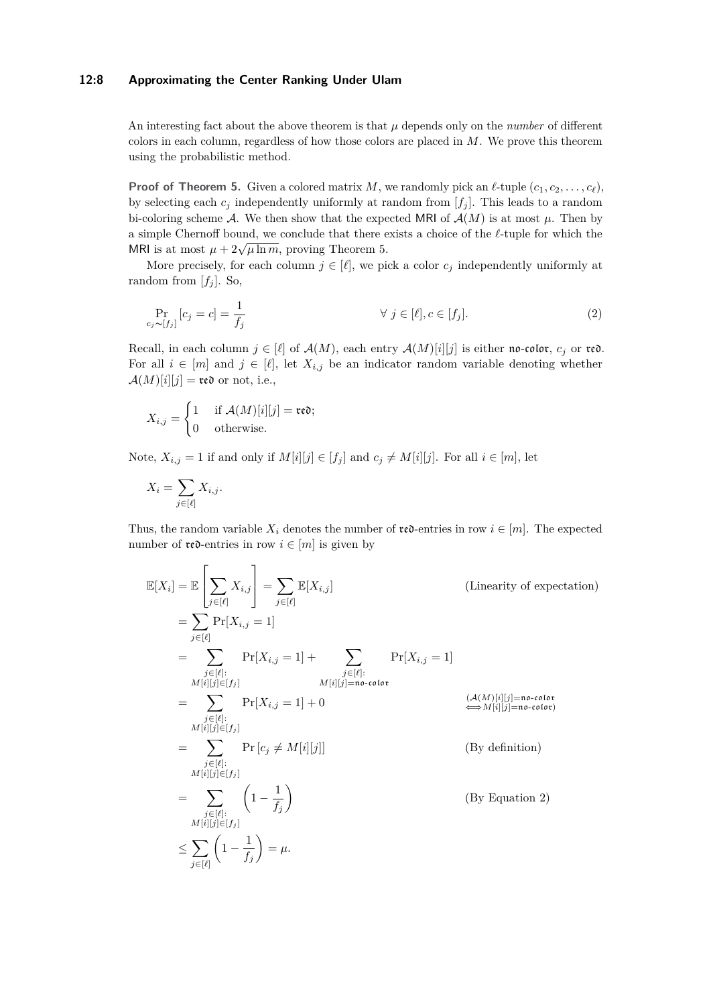## **12:8 Approximating the Center Ranking Under Ulam**

An interesting fact about the above theorem is that  $\mu$  depends only on the *number* of different colors in each column, regardless of how those colors are placed in *M*. We prove this theorem using the probabilistic method.

**Proof of [Theorem 5.](#page-6-0)** Given a colored matrix *M*, we randomly pick an  $\ell$ -tuple  $(c_1, c_2, \ldots, c_\ell)$ , by selecting each  $c_i$  independently uniformly at random from  $[f_i]$ . This leads to a random bi-coloring scheme A. We then show that the expected MRI of  $A(M)$  is at most  $\mu$ . Then by a simple Chernoff bound, we conclude that there exists a choice of the *ℓ*-tuple for which the MRI is at most  $\mu + 2\sqrt{\mu \ln m}$ , proving [Theorem 5.](#page-6-0)

More precisely, for each column  $j \in [\ell]$ , we pick a color  $c_j$  independently uniformly at random from  $[f_i]$ . So,

<span id="page-7-0"></span>
$$
\Pr_{c_j \sim [f_j]}[c_j = c] = \frac{1}{f_j} \qquad \qquad \forall j \in [\ell], c \in [f_j]. \tag{2}
$$

Recall, in each column  $j \in [\ell]$  of  $\mathcal{A}(M)$ , each entry  $\mathcal{A}(M)[i][j]$  is either no-color,  $c_j$  or red. For all  $i \in [m]$  and  $j \in [\ell]$ , let  $X_{i,j}$  be an indicator random variable denoting whether  $\mathcal{A}(M)[i][j] = \text{red}$  or not, i.e.,

$$
X_{i,j} = \begin{cases} 1 & \text{if } \mathcal{A}(M)[i][j] = \text{re}\mathfrak{d}; \\ 0 & \text{otherwise.} \end{cases}
$$

Note,  $X_{i,j} = 1$  if and only if  $M[i][j] \in [f_j]$  and  $c_j \neq M[i][j]$ . For all  $i \in [m]$ , let

$$
X_i = \sum_{j \in [\ell]} X_{i,j}.
$$

Thus, the random variable  $X_i$  denotes the number of  $\mathfrak{re}$ -entries in row  $i \in [m]$ . The expected number of  $\mathfrak{re}\mathfrak{d}$ -entries in row  $i \in [m]$  is given by

$$
\mathbb{E}[X_i] = \mathbb{E}\left[\sum_{j\in[\ell]} X_{i,j}\right] = \sum_{j\in[\ell]} \mathbb{E}[X_{i,j}] \qquad \text{(Linearity of expectation)}
$$
\n
$$
= \sum_{j\in[\ell]} \Pr[X_{i,j} = 1]
$$
\n
$$
= \sum_{j\in[\ell]:} \Pr[X_{i,j} = 1] + \sum_{\substack{j\in[\ell]:\\M[i][j]\in[f_j]}} \Pr[X_{i,j} = 1] + \sum_{\substack{j\in[\ell]:\\M[i][j]=\text{no-cofor}}} \Pr[X_{i,j} = 1] + 0 \qquad \text{(A(M)[i][j]=\text{no-cofor})}
$$
\n
$$
= \sum_{\substack{j\in[\ell]:\\M[i][j]\in[f_j]}} \Pr[c_j \neq M[i][j]] \qquad \text{(By definition)}
$$
\n
$$
= \sum_{\substack{j\in[\ell]:\\M[i][j]\in[f_j]}} \left(1 - \frac{1}{f_j}\right) \qquad \text{(By Equation 2)}
$$
\n
$$
\leq \sum_{j\in[\ell]} \left(1 - \frac{1}{f_j}\right) = \mu.
$$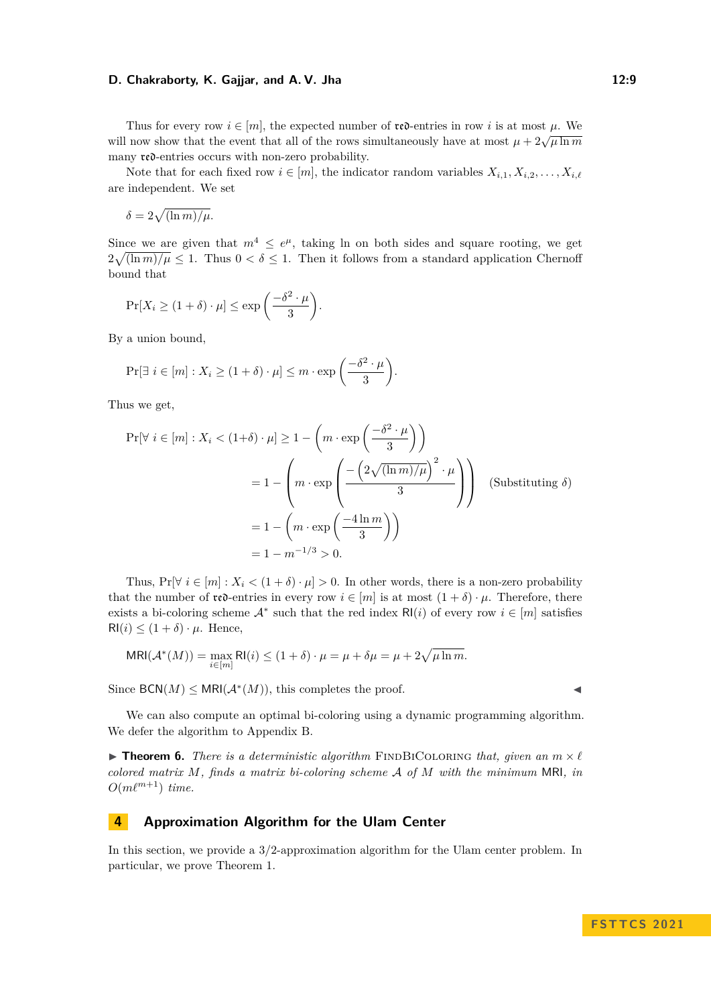Thus for every row  $i \in [m]$ , the expected number of **red**-entries in row i is at most  $\mu$ . We will now show that the event that all of the rows simultaneously have at most  $\mu$  +  $2\sqrt{\mu \ln m}$ many red-entries occurs with non-zero probability.

Note that for each fixed row  $i \in [m]$ , the indicator random variables  $X_{i,1}, X_{i,2}, \ldots, X_{i,\ell}$ are independent. We set

$$
\delta = 2\sqrt{(\ln m)/\mu}.
$$

Since we are given that  $m^4 \leq e^{\mu}$ , taking ln on both sides and square rooting, we get  $2\sqrt{\ln m/\mu} \leq 1$ . Thus  $0 < \delta \leq 1$ . Then it follows from a standard application Chernoff bound that

$$
\Pr[X_i \ge (1+\delta) \cdot \mu] \le \exp\left(\frac{-\delta^2 \cdot \mu}{3}\right).
$$

By a union bound,

$$
\Pr[\exists i \in [m] : X_i \ge (1+\delta) \cdot \mu] \le m \cdot \exp\left(\frac{-\delta^2 \cdot \mu}{3}\right).
$$

Thus we get,

$$
\Pr[\forall i \in [m] : X_i < (1+\delta) \cdot \mu] \ge 1 - \left( m \cdot \exp\left(\frac{-\delta^2 \cdot \mu}{3}\right) \right)
$$
\n
$$
= 1 - \left( m \cdot \exp\left(\frac{-\left(2\sqrt{(\ln m)/\mu}\right)^2 \cdot \mu}{3}\right) \right) \quad \text{(Substituting } \delta)
$$
\n
$$
= 1 - \left( m \cdot \exp\left(\frac{-4\ln m}{3}\right) \right)
$$
\n
$$
= 1 - m^{-1/3} > 0.
$$

Thus,  $Pr[\forall i \in [m]: X_i < (1 + \delta) \cdot \mu] > 0$ . In other words, there is a non-zero probability that the number of  $\mathfrak{rec}$ -entries in every row  $i \in [m]$  is at most  $(1 + \delta) \cdot \mu$ . Therefore, there exists a bi-coloring scheme  $A^*$  such that the red index  $R(i)$  of every row  $i \in [m]$  satisfies  $R1(i) \leq (1+\delta) \cdot \mu$ . Hence,

$$
\mathsf{MRI}(\mathcal{A}^*(M)) = \max_{i \in [m]} \mathsf{RI}(i) \le (1+\delta) \cdot \mu = \mu + \delta\mu = \mu + 2\sqrt{\mu \ln m}.
$$

Since  $\mathsf{BCN}(M) \leq \mathsf{MRI}(\mathcal{A}^*(M))$ , this completes the proof.

We can also compute an optimal bi-coloring using a dynamic programming algorithm. We defer the algorithm to [Appendix B.](#page-18-0)

<span id="page-8-1"></span> $\triangleright$  **Theorem 6.** *There is a deterministic algorithm* FINDBICOLORING *that, given an*  $m \times l$ *colored matrix M, finds a matrix bi-coloring scheme* A *of M with the minimum* MRI*, in*  $O(m\ell^{m+1})$  *time.* 

## <span id="page-8-0"></span>**4 Approximation Algorithm for the Ulam Center**

In this section, we provide a 3*/*2-approximation algorithm for the Ulam center problem. In particular, we prove [Theorem 1.](#page-1-1)

$$
\blacktriangleleft
$$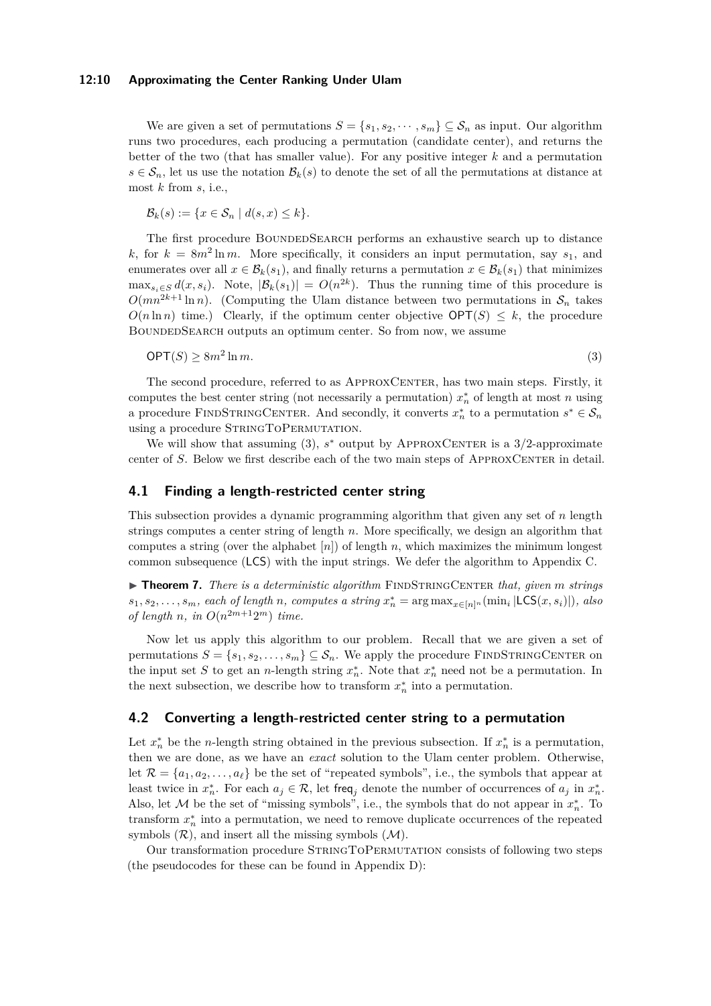#### **12:10 Approximating the Center Ranking Under Ulam**

We are given a set of permutations  $S = \{s_1, s_2, \dots, s_m\} \subseteq S_n$  as input. Our algorithm runs two procedures, each producing a permutation (candidate center), and returns the better of the two (that has smaller value). For any positive integer *k* and a permutation  $s \in \mathcal{S}_n$ , let us use the notation  $\mathcal{B}_k(s)$  to denote the set of all the permutations at distance at most *k* from *s*, i.e.,

$$
\mathcal{B}_k(s) := \{ x \in \mathcal{S}_n \mid d(s, x) \leq k \}.
$$

The first procedure BoundedSearch performs an exhaustive search up to distance k, for  $k = 8m^2 \ln m$ . More specifically, it considers an input permutation, say  $s_1$ , and enumerates over all  $x \in \mathcal{B}_k(s_1)$ , and finally returns a permutation  $x \in \mathcal{B}_k(s_1)$  that minimizes  $\max_{s_i \in S} d(x, s_i)$ . Note,  $|\mathcal{B}_k(s_1)| = O(n^{2k})$ . Thus the running time of this procedure is  $O(mn^{2k+1}\ln n)$ . (Computing the Ulam distance between two permutations in  $S_n$  takes  $O(n \ln n)$  time.) Clearly, if the optimum center objective  $\mathsf{OPT}(S) \leq k$ , the procedure BOUNDEDSEARCH outputs an optimum center. So from now, we assume

<span id="page-9-1"></span>
$$
\mathsf{OPT}(S) \ge 8m^2 \ln m. \tag{3}
$$

The second procedure, referred to as APPROXCENTER, has two main steps. Firstly, it computes the best center string (not necessarily a permutation)  $x_n^*$  of length at most *n* using a procedure FINDSTRINGCENTER. And secondly, it converts  $x_n^*$  to a permutation  $s^* \in S_n$ using a procedure STRINGTOPERMUTATION.

We will show that assuming  $(3)$ ,  $s^*$  output by APPROXCENTER is a  $3/2$ -approximate center of *S*. Below we first describe each of the two main steps of APPROXCENTER in detail.

## <span id="page-9-0"></span>**4.1 Finding a length-restricted center string**

This subsection provides a dynamic programming algorithm that given any set of *n* length strings computes a center string of length *n*. More specifically, we design an algorithm that computes a string (over the alphabet  $[n]$ ) of length  $n$ , which maximizes the minimum longest common subsequence (LCS) with the input strings. We defer the algorithm to [Appendix C.](#page-19-0)

<span id="page-9-2"></span>▶ **Theorem 7.** *There is a deterministic algorithm* FINDSTRINGCENTER *that, given m strings*  $s_1, s_2, \ldots, s_m$ , each of length *n*, computes a string  $x_n^* = \arg \max_{x \in [n]^n} (\min_i |\text{LCS}(x, s_i)|)$ , also *of length n*, *in*  $O(n^{2m+1}2^m)$  *time.* 

Now let us apply this algorithm to our problem. Recall that we are given a set of permutations  $S = \{s_1, s_2, \ldots, s_m\} \subseteq \mathcal{S}_n$ . We apply the procedure FINDSTRINGCENTER on the input set *S* to get an *n*-length string  $x_n^*$ . Note that  $x_n^*$  need not be a permutation. In the next subsection, we describe how to transform  $x_n^*$  into a permutation.

## <span id="page-9-3"></span>**4.2 Converting a length-restricted center string to a permutation**

Let  $x_n^*$  be the *n*-length string obtained in the previous subsection. If  $x_n^*$  is a permutation, then we are done, as we have an *exact* solution to the Ulam center problem. Otherwise, let  $\mathcal{R} = \{a_1, a_2, \ldots, a_\ell\}$  be the set of "repeated symbols", i.e., the symbols that appear at least twice in  $x_n^*$ . For each  $a_j \in \mathcal{R}$ , let freq<sub>j</sub> denote the number of occurrences of  $a_j$  in  $x_n^*$ . Also, let M be the set of "missing symbols", i.e., the symbols that do not appear in  $x_n^*$ . To transform  $x_n^*$  into a permutation, we need to remove duplicate occurrences of the repeated symbols  $(\mathcal{R})$ , and insert all the missing symbols  $(\mathcal{M})$ .

Our transformation procedure StringToPermutation consists of following two steps (the pseudocodes for these can be found in [Appendix D\)](#page-20-0):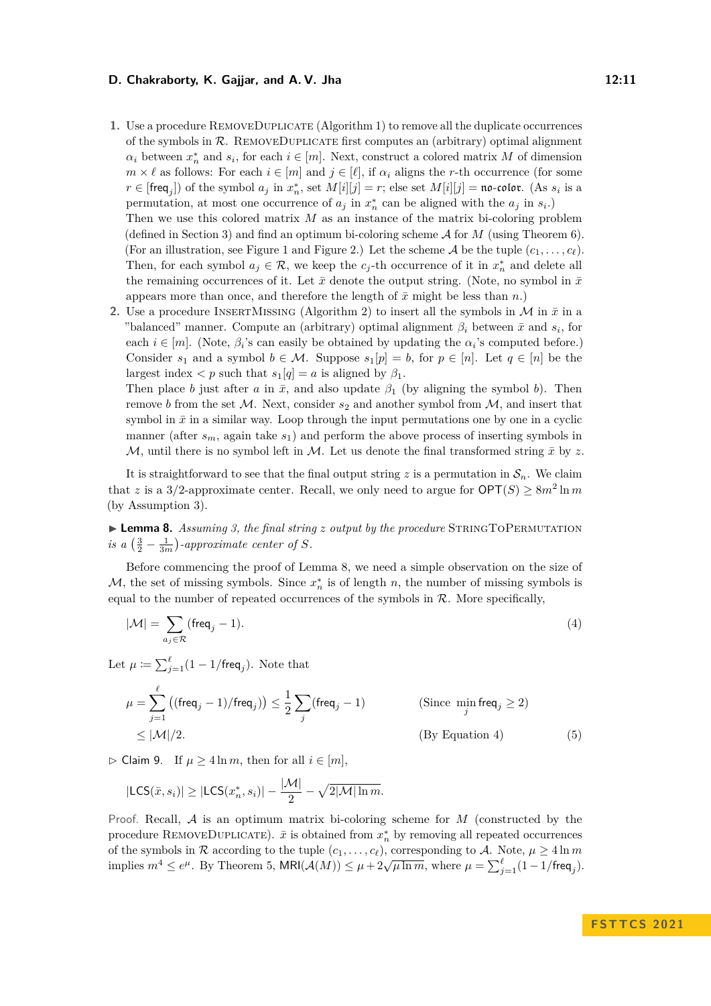**1.** Use a procedure RemoveDuplicate [\(Algorithm 1\)](#page-20-1) to remove all the duplicate occurrences of the symbols in  $R$ . REMOVEDUPLICATE first computes an (arbitrary) optimal alignment  $\alpha_i$  between  $x_n^*$  and  $s_i$ , for each  $i \in [m]$ . Next, construct a colored matrix *M* of dimension  $m \times \ell$  as follows: For each  $i \in [m]$  and  $j \in [\ell]$ , if  $\alpha_i$  aligns the *r*-th occurrence (for some  $r \in [\text{freq}_j]$ ) of the symbol  $a_j$  in  $x_n^*$ , set  $M[i][j] = r$ ; else set  $M[i][j] = \text{no-color.}$  (As  $s_i$  is a permutation, at most one occurrence of  $a_j$  in  $x_n^*$  can be aligned with the  $a_j$  in  $s_i$ .)

Then we use this colored matrix *M* as an instance of the matrix bi-coloring problem (defined in [Section 3\)](#page-5-1) and find an optimum bi-coloring scheme A for *M* (using [Theorem 6\)](#page-8-1). (For an illustration, see [Figure 1](#page-4-1) and [Figure 2.](#page-4-0)) Let the scheme  $A$  be the tuple  $(c_1, \ldots, c_\ell)$ . Then, for each symbol  $a_j \in \mathcal{R}$ , we keep the  $c_j$ -th occurrence of it in  $x_n^*$  and delete all the remaining occurrences of it. Let  $\bar{x}$  denote the output string. (Note, no symbol in  $\bar{x}$ appears more than once, and therefore the length of  $\bar{x}$  might be less than  $n$ .)

**2.** Use a procedure INSERTMISSING [\(Algorithm 2\)](#page-20-2) to insert all the symbols in  $\mathcal{M}$  in  $\bar{x}$  in a "balanced" manner. Compute an (arbitrary) optimal alignment  $\beta_i$  between  $\bar{x}$  and  $s_i$ , for each  $i \in [m]$ . (Note,  $\beta_i$ 's can easily be obtained by updating the  $\alpha_i$ 's computed before.) Consider  $s_1$  and a symbol  $b \in \mathcal{M}$ . Suppose  $s_1[p] = b$ , for  $p \in [n]$ . Let  $q \in [n]$  be the largest index  $\langle p \rangle$  such that  $s_1[q] = a$  is aligned by  $\beta_1$ .

Then place *b* just after *a* in  $\bar{x}$ , and also update  $\beta_1$  (by aligning the symbol *b*). Then remove *b* from the set  $M$ . Next, consider  $s_2$  and another symbol from  $M$ , and insert that symbol in  $\bar{x}$  in a similar way. Loop through the input permutations one by one in a cyclic manner (after  $s_m$ , again take  $s_1$ ) and perform the above process of inserting symbols in M, until there is no symbol left in M. Let us denote the final transformed string  $\bar{x}$  by z.

It is straightforward to see that the final output string  $z$  is a permutation in  $\mathcal{S}_n$ . We claim that *z* is a 3/2-approximate center. Recall, we only need to argue for  $\mathsf{OPT}(S) \geq 8m^2 \ln m$ (by Assumption [3\)](#page-9-1).

<span id="page-10-0"></span>▶ **Lemma 8.** *Assuming [3,](#page-9-1) the final string z output by the procedure* STRINGTOPERMUTATION *is a*  $\left(\frac{3}{2} - \frac{1}{3m}\right)$ -approximate center of S.

Before commencing the proof of [Lemma 8,](#page-10-0) we need a simple observation on the size of  $M$ , the set of missing symbols. Since  $x_n^*$  is of length *n*, the number of missing symbols is equal to the number of repeated occurrences of the symbols in  $R$ . More specifically,

<span id="page-10-1"></span>
$$
|\mathcal{M}| = \sum_{a_j \in \mathcal{R}} (\text{freq}_j - 1). \tag{4}
$$

Let  $\mu \coloneqq \sum_{j=1}^{\ell} (1 - 1/\text{freq}_j)$ . Note that

<span id="page-10-2"></span>
$$
\mu = \sum_{j=1}^{\ell} \left( (\text{freq}_j - 1) / \text{freq}_j \right) \le \frac{1}{2} \sum_j (\text{freq}_j - 1) \tag{Since } \min_j \text{freq}_j \ge 2
$$
\n
$$
\le |\mathcal{M}|/2. \tag{By Equation 4}
$$

<span id="page-10-3"></span>▷ Claim 9. If *µ* ≥ 4 ln *m*, then for all *i* ∈ [*m*],

$$
|\mathsf{LCS}(\bar{x}, s_i)| \geq |\mathsf{LCS}(x_n^*, s_i)| - \frac{|\mathcal{M}|}{2} - \sqrt{2|\mathcal{M}| \ln m}.
$$

Proof. Recall, A is an optimum matrix bi-coloring scheme for *M* (constructed by the procedure REMOVEDUPLICATE).  $\bar{x}$  is obtained from  $x_n^*$  by removing all repeated occurrences of the symbols in R according to the tuple  $(c_1, \ldots, c_\ell)$ , corresponding to A. Note,  $\mu \ge 4 \ln m$ implies  $m^4 \le e^{\mu}$ . By [Theorem 5,](#page-6-0)  $MRl(\mathcal{A}(M)) \le \mu + 2\sqrt{\mu \ln m}$ , where  $\mu = \sum_{j=1}^{\ell} (1 - 1/\text{freq}_j)$ .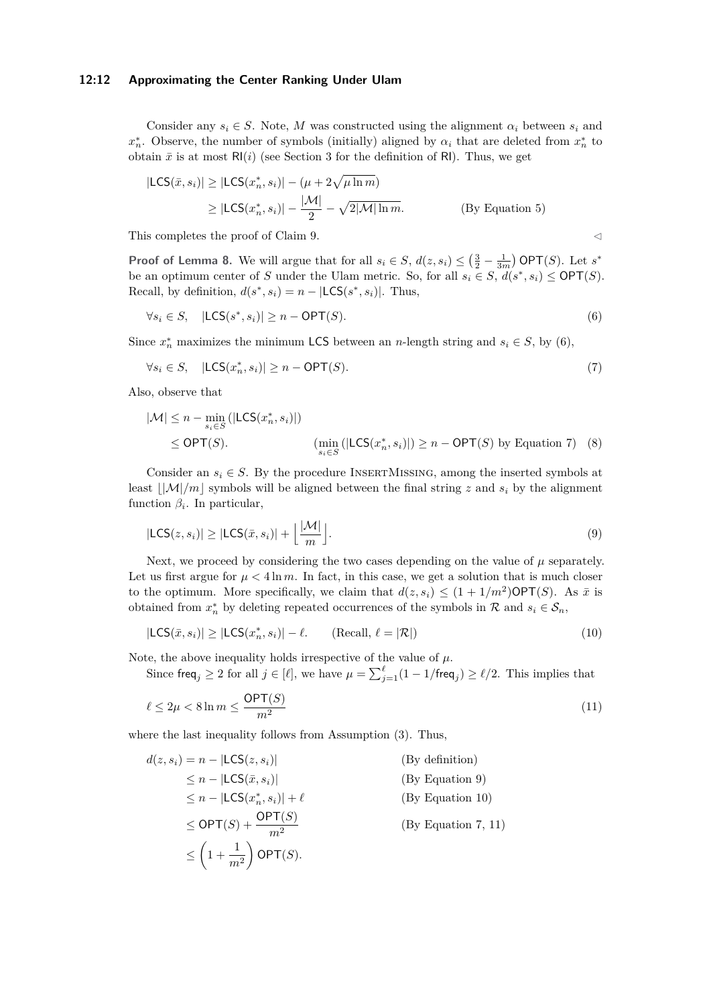#### **12:12 Approximating the Center Ranking Under Ulam**

Consider any  $s_i \in S$ . Note, *M* was constructed using the alignment  $\alpha_i$  between  $s_i$  and *x*<sup>\*</sup><sub>n</sub>. Observe, the number of symbols (initially) aligned by  $\alpha_i$  that are deleted from  $x_n^*$  to obtain  $\bar{x}$  is at most  $R(i)$  (see [Section 3](#page-5-1) for the definition of RI). Thus, we get

$$
|\mathsf{LCS}(\bar{x}, s_i)| \ge |\mathsf{LCS}(x_n^*, s_i)| - (\mu + 2\sqrt{\mu \ln m})
$$
  
\n
$$
\ge |\mathsf{LCS}(x_n^*, s_i)| - \frac{|\mathcal{M}|}{2} - \sqrt{2|\mathcal{M}| \ln m}.
$$
 (By Equation 5)

This completes the proof of [Claim 9.](#page-10-3)  $\triangleleft$ 

**Proof of [Lemma 8.](#page-10-0)** We will argue that for all  $s_i \in S$ ,  $d(z, s_i) \leq (\frac{3}{2} - \frac{1}{3m})$  OPT(*S*). Let  $s^*$ be an optimum center of *S* under the Ulam metric. So, for all  $s_i \in S$ ,  $d(s^*, s_i) \le \text{OPT}(S)$ . Recall, by definition,  $d(s^*, s_i) = n - |LCS(s^*, s_i)|$ . Thus,

<span id="page-11-0"></span>
$$
\forall s_i \in S, \quad |\mathsf{LCS}(s^*, s_i)| \ge n - \mathsf{OPT}(S). \tag{6}
$$

Since  $x_n^*$  maximizes the minimum LCS between an *n*-length string and  $s_i \in S$ , by [\(6\)](#page-11-0),

<span id="page-11-1"></span>
$$
\forall s_i \in S, \quad |\mathsf{LCS}(x_n^*, s_i)| \ge n - \mathsf{OPT}(S). \tag{7}
$$

Also, observe that

<span id="page-11-5"></span>
$$
|\mathcal{M}| \le n - \min_{s_i \in S} (|\mathsf{LCS}(x_n^*, s_i)|)
$$
  
\n
$$
\le \mathsf{OPT}(S). \qquad (\min_{s_i \in S} (|\mathsf{LCS}(x_n^*, s_i)|) \ge n - \mathsf{OPT}(S) \text{ by Equation 7})
$$
 (8)

Consider an  $s_i \in S$ . By the procedure INSERTMISSING, among the inserted symbols at least  $|\mathcal{M}|/m|$  symbols will be aligned between the final string *z* and  $s_i$  by the alignment function  $\beta_i$ . In particular,

<span id="page-11-2"></span>
$$
|\mathsf{LCS}(z,s_i)| \ge |\mathsf{LCS}(\bar{x},s_i)| + \left\lfloor \frac{|\mathcal{M}|}{m} \right\rfloor.
$$
\n(9)

Next, we proceed by considering the two cases depending on the value of  $\mu$  separately. Let us first argue for  $\mu < 4 \ln m$ . In fact, in this case, we get a solution that is much closer to the optimum. More specifically, we claim that  $d(z, s_i) \leq (1 + 1/m^2) \text{OPT}(S)$ . As  $\bar{x}$  is obtained from  $x_n^*$  by deleting repeated occurrences of the symbols in  $\mathcal R$  and  $s_i \in \mathcal S_n$ ,

<span id="page-11-4"></span><span id="page-11-3"></span>
$$
|\mathsf{LCS}(\bar{x}, s_i)| \ge |\mathsf{LCS}(x_n^*, s_i)| - \ell. \qquad \text{(Recall, } \ell = |\mathcal{R}|) \tag{10}
$$

Note, the above inequality holds irrespective of the value of  $\mu$ .

Since  $\text{freq}_j \geq 2$  for all  $j \in [\ell]$ , we have  $\mu = \sum_{j=1}^{\ell} (1 - 1/\text{freq}_j) \geq \ell/2$ . This implies that

$$
\ell \le 2\mu < 8\ln m \le \frac{\text{OPT}(S)}{m^2} \tag{11}
$$

where the last inequality follows from Assumption [\(3\)](#page-9-1). Thus,

$$
d(z, s_i) = n - |\mathsf{LCS}(z, s_i)|
$$
 (By definition)  
\n
$$
\leq n - |\mathsf{LCS}(\bar{x}, s_i)|
$$
 (By Equation 9)  
\n
$$
\leq n - |\mathsf{LCS}(x_n^*, s_i)| + \ell
$$
 (By Equation 10)  
\n
$$
\leq \mathsf{OPT}(S) + \frac{\mathsf{OPT}(S)}{m^2}
$$
 (By Equation 7, 11)  
\n
$$
\leq \left(1 + \frac{1}{m^2}\right) \mathsf{OPT}(S).
$$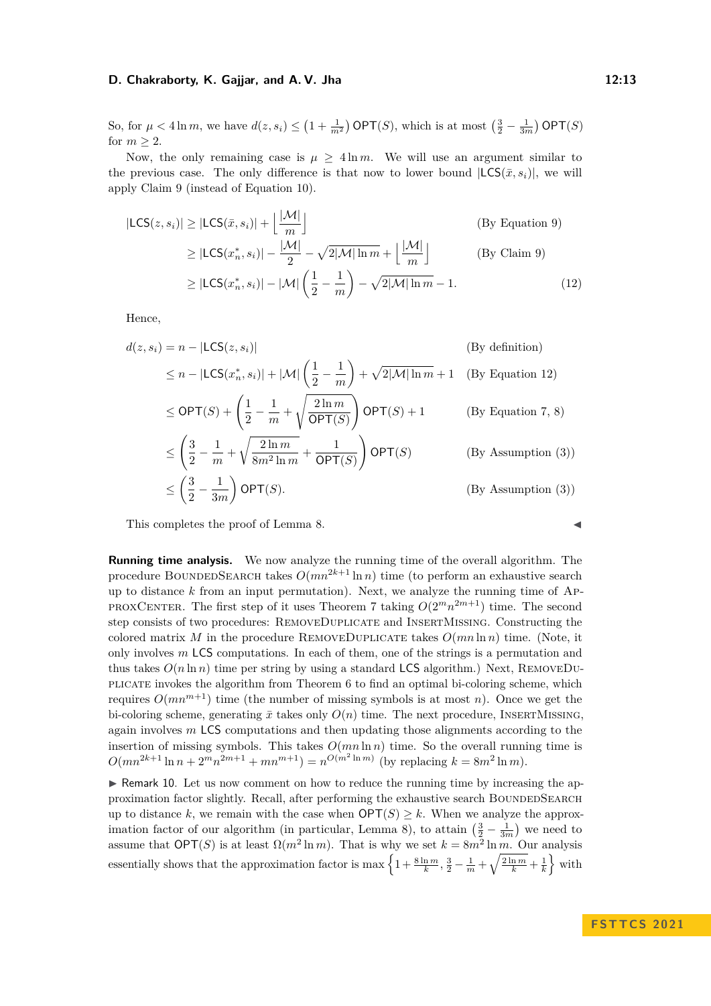So, for  $\mu < 4 \ln m$ , we have  $d(z, s_i) \leq (1 + \frac{1}{m^2})$  OPT(*S*), which is at most  $(\frac{3}{2} - \frac{1}{3m})$  OPT(*S*) for  $m \geq 2$ .

Now, the only remaining case is  $\mu \geq 4 \ln m$ . We will use an argument similar to the previous case. The only difference is that now to lower bound  $|LCS(\bar{x}, s_i)|$ , we will apply [Claim 9](#page-10-3) (instead of [Equation 10\)](#page-11-3).

$$
|\mathsf{LCS}(z, s_i)| \ge |\mathsf{LCS}(\bar{x}, s_i)| + \left\lfloor \frac{|\mathcal{M}|}{m} \right\rfloor
$$
 (By Equation 9)  
\n
$$
\ge |\mathsf{LCS}(x_n^*, s_i)| - \frac{|\mathcal{M}|}{2} - \sqrt{2|\mathcal{M}| \ln m} + \left\lfloor \frac{|\mathcal{M}|}{m} \right\rfloor
$$
 (By Claim 9)  
\n
$$
\ge |\mathsf{LCS}(x_n^*, s_i)| - |\mathcal{M}| \left(\frac{1}{2} - \frac{1}{m}\right) - \sqrt{2|\mathcal{M}| \ln m} - 1.
$$
 (12)

Hence,

$$
d(z, s_i) = n - |\mathsf{LCS}(z, s_i)| \qquad \text{(By definition)}
$$
\n
$$
\leq n - |\mathsf{LCS}(x_n^*, s_i)| + |\mathcal{M}| \left(\frac{1}{2} - \frac{1}{m}\right) + \sqrt{2|\mathcal{M}| \ln m} + 1 \quad \text{(By Equation 12)}
$$
\n
$$
\leq \mathsf{OPT}(S) + \left(\frac{1}{2} - \frac{1}{m} + \sqrt{\frac{2\ln m}{\mathsf{OPT}(S)}}\right) \mathsf{OPT}(S) + 1 \qquad \text{(By Equation 7, 8)}
$$
\n
$$
\leq \left(\frac{3}{2} - \frac{1}{m} + \sqrt{\frac{2\ln m}{8m^2 \ln m}} + \frac{1}{\mathsf{OPT}(S)}\right) \mathsf{OPT}(S) \qquad \text{(By Assumption (3))}
$$
\n
$$
\leq \left(\frac{3}{2} - \frac{1}{3m}\right) \mathsf{OPT}(S). \qquad \text{(By Assumption (3))}
$$

This completes the proof of [Lemma 8.](#page-10-0)

**Running time analysis.** We now analyze the running time of the overall algorithm. The procedure BOUNDEDSEARCH takes  $O(mn^{2k+1}\ln n)$  time (to perform an exhaustive search up to distance *k* from an input permutation). Next, we analyze the running time of Ap-PROXCENTER. The first step of it uses [Theorem 7](#page-9-2) taking  $O(2^m n^{2m+1})$  time. The second step consists of two procedures: RemoveDuplicate and InsertMissing. Constructing the colored matrix *M* in the procedure REMOVEDUPLICATE takes  $O(mn \ln n)$  time. (Note, it only involves *m* LCS computations. In each of them, one of the strings is a permutation and thus takes  $O(n \ln n)$  time per string by using a standard LCS algorithm.) Next, REMOVEDUplicate invokes the algorithm from [Theorem 6](#page-8-1) to find an optimal bi-coloring scheme, which requires  $O(mn^{m+1})$  time (the number of missing symbols is at most *n*). Once we get the bi-coloring scheme, generating  $\bar{x}$  takes only  $O(n)$  time. The next procedure, INSERTMISSING, again involves *m* LCS computations and then updating those alignments according to the insertion of missing symbols. This takes  $O(mn \ln n)$  time. So the overall running time is  $O(mn^{2k+1}\ln n + 2^m n^{2m+1} + mn^{m+1}) = n^{O(m^2\ln m)}$  (by replacing  $k = 8m^2\ln m$ ).

<span id="page-12-0"></span>▶ Remark 10. Let us now comment on how to reduce the running time by increasing the approximation factor slightly. Recall, after performing the exhaustive search BOUNDEDSEARCH up to distance k, we remain with the case when  $\mathsf{OPT}(S) \geq k$ . When we analyze the approx-imation factor of our algorithm (in particular, [Lemma 8\)](#page-10-0), to attain  $\left(\frac{3}{2} - \frac{1}{3m}\right)$  we need to assume that  $\mathsf{OPT}(S)$  is at least  $\Omega(m^2 \ln m)$ . That is why we set  $k = 8m^2 \ln m$ . Our analysis essentially shows that the approximation factor is max  $\left\{1 + \frac{8 \ln m}{k}, \frac{3}{2} - \frac{1}{m} + \sqrt{\frac{2 \ln m}{k}} + \frac{1}{k}\right\}$  with

<span id="page-12-1"></span>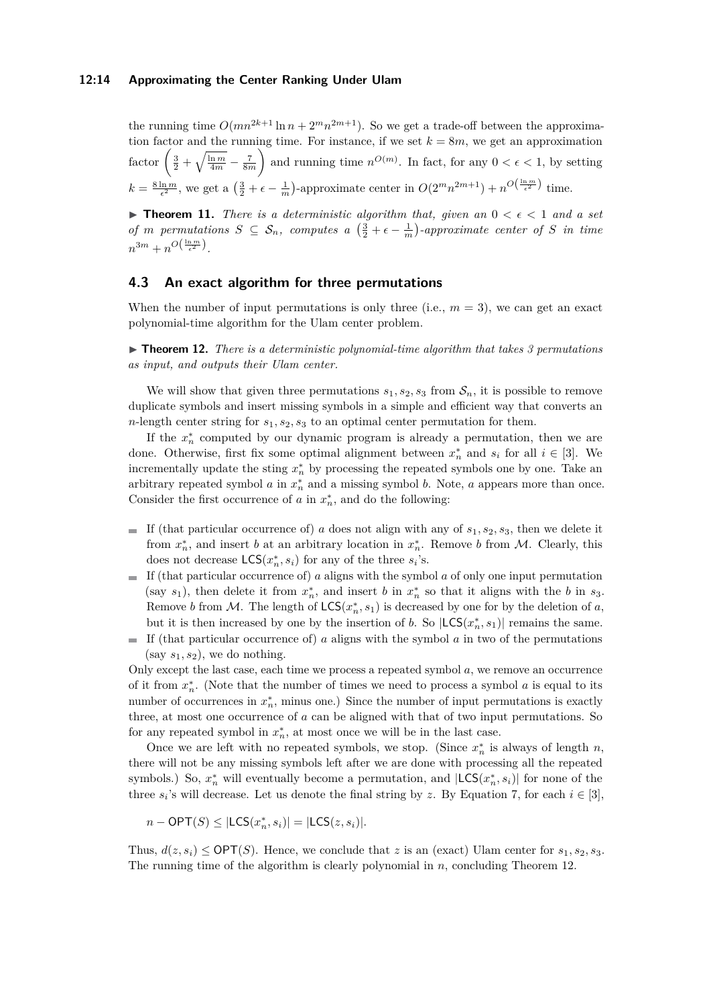#### **12:14 Approximating the Center Ranking Under Ulam**

the running time  $O(mn^{2k+1}\ln n + 2^m n^{2m+1})$ . So we get a trade-off between the approximation factor and the running time. For instance, if we set  $k = 8m$ , we get an approximation factor  $\left(\frac{3}{2} + \sqrt{\frac{\ln m}{4m}} - \frac{7}{8m}\right)$ ) and running time  $n^{O(m)}$ . In fact, for any  $0 < \epsilon < 1$ , by setting  $k = \frac{8 \ln m}{\epsilon^2}$ , we get a  $\left(\frac{3}{2} + \epsilon - \frac{1}{m}\right)$ -approximate center in  $O(2^m n^{2m+1}) + n^{O(\frac{\ln m}{\epsilon^2})}$  time.

▶ **Theorem 11.** *There is a deterministic algorithm that, given an*  $0 < \epsilon < 1$  *and a set of m* permutations  $S \subseteq S_n$ , computes a  $\left(\frac{3}{2} + \epsilon - \frac{1}{m}\right)$ -approximate center of S in time  $n^{3m} + n^{O\left(\frac{\ln m}{\epsilon^2}\right)}$ .

# **4.3 An exact algorithm for three permutations**

When the number of input permutations is only three (i.e.,  $m = 3$ ), we can get an exact polynomial-time algorithm for the Ulam center problem.

<span id="page-13-0"></span>▶ **Theorem 12.** *There is a deterministic polynomial-time algorithm that takes 3 permutations as input, and outputs their Ulam center.*

We will show that given three permutations  $s_1, s_2, s_3$  from  $\mathcal{S}_n$ , it is possible to remove duplicate symbols and insert missing symbols in a simple and efficient way that converts an *n*-length center string for *s*1*, s*2*, s*<sup>3</sup> to an optimal center permutation for them.

If the  $x_n^*$  computed by our dynamic program is already a permutation, then we are done. Otherwise, first fix some optimal alignment between  $x_n^*$  and  $s_i$  for all  $i \in [3]$ . We incrementally update the sting  $x_n^*$  by processing the repeated symbols one by one. Take an arbitrary repeated symbol *a* in  $x_n^*$  and a missing symbol *b*. Note, *a* appears more than once. Consider the first occurrence of  $a$  in  $x_n^*$ , and do the following:

- If (that particular occurrence of) *a* does not align with any of  $s_1, s_2, s_3$ , then we delete it from  $x_n^*$ , and insert *b* at an arbitrary location in  $x_n^*$ . Remove *b* from *M*. Clearly, this does not decrease  $\mathsf{LCS}(x_n^*, s_i)$  for any of the three  $s_i$ 's.
- $\blacksquare$  If (that particular occurrence of) *a* aligns with the symbol *a* of only one input permutation (say  $s_1$ ), then delete it from  $x_n^*$ , and insert *b* in  $x_n^*$  so that it aligns with the *b* in  $s_3$ . Remove *b* from M. The length of  $LCS(x_n^*, s_1)$  is decreased by one for by the deletion of *a*, but it is then increased by one by the insertion of *b*. So  $|LCS(x_n^*, s_1)|$  remains the same.
- If (that particular occurrence of) *a* aligns with the symbol *a* in two of the permutations  $(say s<sub>1</sub>, s<sub>2</sub>)$ , we do nothing.

Only except the last case, each time we process a repeated symbol *a*, we remove an occurrence of it from  $x_n^*$ . (Note that the number of times we need to process a symbol  $a$  is equal to its number of occurrences in  $x_n^*$ , minus one.) Since the number of input permutations is exactly three, at most one occurrence of *a* can be aligned with that of two input permutations. So for any repeated symbol in  $x_n^*$ , at most once we will be in the last case.

Once we are left with no repeated symbols, we stop. (Since  $x_n^*$  is always of length *n*, there will not be any missing symbols left after we are done with processing all the repeated symbols.) So,  $x_n^*$  will eventually become a permutation, and  $|LCS(x_n^*, s_i)|$  for none of the three  $s_i$ 's will decrease. Let us denote the final string by *z*. By [Equation 7,](#page-11-1) for each  $i \in [3]$ ,

$$
n-\mathsf{OPT}(S) \le |\mathsf{LCS}(x_n^*, s_i)| = |\mathsf{LCS}(z, s_i)|.
$$

Thus,  $d(z, s_i) \le \text{OPT}(S)$ . Hence, we conclude that *z* is an (exact) Ulam center for  $s_1, s_2, s_3$ . The running time of the algorithm is clearly polynomial in *n*, concluding [Theorem 12.](#page-13-0)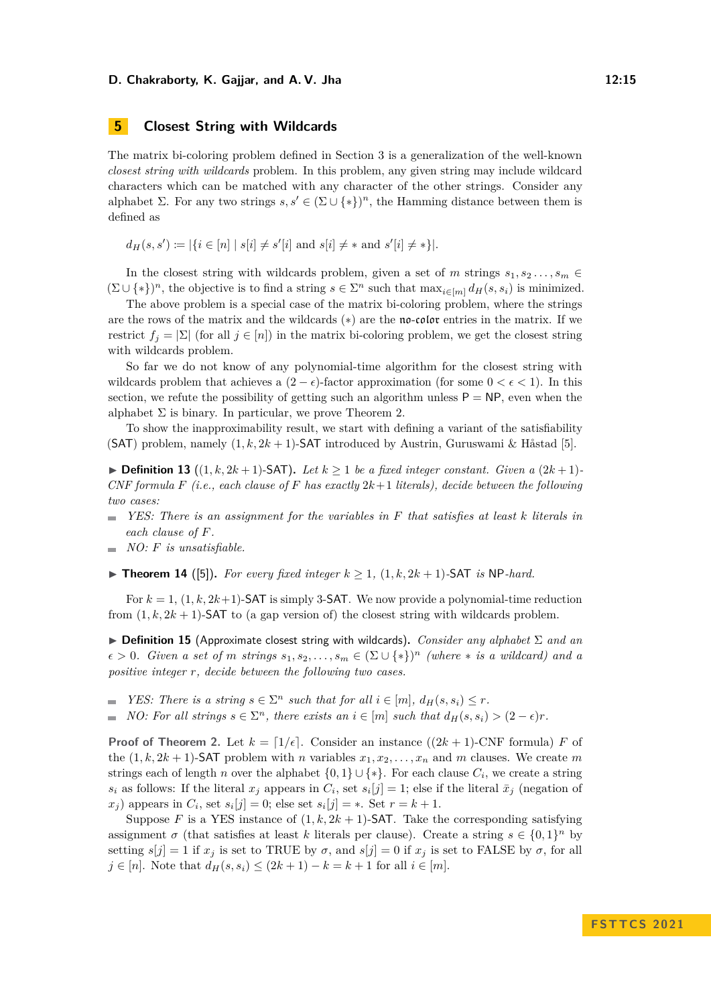# <span id="page-14-0"></span>**5 Closest String with Wildcards**

The matrix bi-coloring problem defined in [Section 3](#page-5-1) is a generalization of the well-known *closest string with wildcards* problem. In this problem, any given string may include wildcard characters which can be matched with any character of the other strings. Consider any alphabet  $\Sigma$ . For any two strings  $s, s' \in (\Sigma \cup \{*\})^n$ , the Hamming distance between them is defined as

 $d_H(s, s') := |\{i \in [n] \mid s[i] \neq s'[i] \text{ and } s[i] \neq * \text{ and } s'[i] \neq * \}|.$ 

In the closest string with wildcards problem, given a set of *m* strings  $s_1, s_2, \ldots, s_m \in$  $(\Sigma \cup \{*\})^n$ , the objective is to find a string  $s \in \Sigma^n$  such that  $\max_{i \in [m]} d_H(s, s_i)$  is minimized.

The above problem is a special case of the matrix bi-coloring problem, where the strings are the rows of the matrix and the wildcards (∗) are the no-color entries in the matrix. If we restrict  $f_i = |\Sigma|$  (for all  $j \in [n]$ ) in the matrix bi-coloring problem, we get the closest string with wildcards problem.

So far we do not know of any polynomial-time algorithm for the closest string with wildcards problem that achieves a  $(2 - \epsilon)$ -factor approximation (for some  $0 < \epsilon < 1$ ). In this section, we refute the possibility of getting such an algorithm unless  $P = NP$ , even when the alphabet  $\Sigma$  is binary. In particular, we prove [Theorem 2.](#page-2-0)

To show the inapproximability result, we start with defining a variant of the satisfiability (SAT) problem, namely  $(1, k, 2k + 1)$ -SAT introduced by Austrin, Guruswami & Håstad [\[5\]](#page-15-9).

▶ **Definition 13** ((1, k, 2k + 1)-SAT). Let  $k \ge 1$  be a fixed integer constant. Given a  $(2k+1)$ -*CNF formula*  $F$  (*i.e., each clause of*  $F$  *has exactly*  $2k+1$  *literals), decide between the following two cases:*

- *YES: There is an assignment for the variables in F that satisfies at least k literals in*  $\sim$ *each clause of F.*
- *NO: F is unsatisfiable.*
- <span id="page-14-1"></span>▶ **Theorem 14** ([\[5\]](#page-15-9)). For every fixed integer  $k \ge 1$ ,  $(1, k, 2k + 1)$ -SAT *is* NP-hard.

For  $k = 1$ ,  $(1, k, 2k+1)$ -SAT is simply 3-SAT. We now provide a polynomial-time reduction from  $(1, k, 2k + 1)$ -SAT to (a gap version of) the closest string with wildcards problem.

▶ **Definition 15** (Approximate closest string with wildcards)**.** *Consider any alphabet* Σ *and an*  $\epsilon > 0$ *. Given a set of m strings*  $s_1, s_2, \ldots, s_m \in (\Sigma \cup \{*\})^n$  *(where*  $*$  *is a wildcard) and a positive integer r, decide between the following two cases.*

*YES: There is a string*  $s \in \Sigma^n$  *such that for all*  $i \in [m]$ ,  $d_H(s, s_i) \leq r$ . *NO: For all strings*  $s \in \Sigma^n$ , there exists an  $i \in [m]$  such that  $d_H(s, s_i) > (2 - \epsilon)r$ .  $\sim$ 

**Proof of [Theorem 2.](#page-2-0)** Let  $k = \lfloor 1/\epsilon \rfloor$ . Consider an instance  $((2k + 1)$ -CNF formula) *F* of the  $(1, k, 2k + 1)$ -SAT problem with *n* variables  $x_1, x_2, \ldots, x_n$  and *m* clauses. We create *m* strings each of length *n* over the alphabet  $\{0,1\} \cup \{*\}$ . For each clause  $C_i$ , we create a string  $s_i$  as follows: If the literal  $x_j$  appears in  $C_i$ , set  $s_i[j] = 1$ ; else if the literal  $\bar{x}_j$  (negation of *x*<sub>j</sub>) appears in  $C_i$ , set  $s_i[j] = 0$ ; else set  $s_i[j] = *$ . Set  $r = k + 1$ .

Suppose *F* is a YES instance of  $(1, k, 2k + 1)$ -SAT. Take the corresponding satisfying assignment  $\sigma$  (that satisfies at least *k* literals per clause). Create a string  $s \in \{0,1\}^n$  by setting  $s[j] = 1$  if  $x_j$  is set to TRUE by  $\sigma$ , and  $s[j] = 0$  if  $x_j$  is set to FALSE by  $\sigma$ , for all *j* ∈ [*n*]. Note that  $d_H(s, s_i)$  ≤  $(2k + 1) - k = k + 1$  for all  $i \in [m]$ .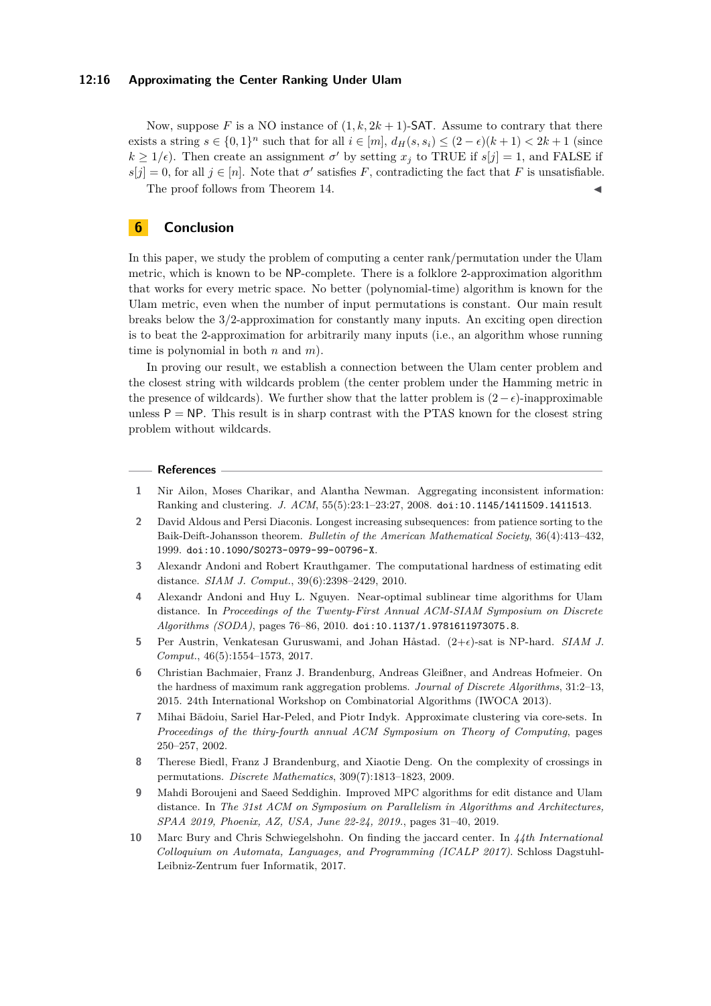#### **12:16 Approximating the Center Ranking Under Ulam**

Now, suppose F is a NO instance of  $(1, k, 2k + 1)$ -SAT. Assume to contrary that there exists a string  $s \in \{0,1\}^n$  such that for all  $i \in [m]$ ,  $d_H(s, s_i) \leq (2 - \epsilon)(k + 1) < 2k + 1$  (since  $k \geq 1/\epsilon$ ). Then create an assignment  $\sigma'$  by setting  $x_j$  to TRUE if  $s[j] = 1$ , and FALSE if  $s[j] = 0$ , for all  $j \in [n]$ . Note that  $\sigma'$  satisfies *F*, contradicting the fact that *F* is unsatisfiable. The proof follows from [Theorem 14.](#page-14-1)

**6 Conclusion**

In this paper, we study the problem of computing a center rank/permutation under the Ulam metric, which is known to be NP-complete. There is a folklore 2-approximation algorithm that works for every metric space. No better (polynomial-time) algorithm is known for the Ulam metric, even when the number of input permutations is constant. Our main result breaks below the 3/2-approximation for constantly many inputs. An exciting open direction is to beat the 2-approximation for arbitrarily many inputs (i.e., an algorithm whose running time is polynomial in both *n* and *m*).

In proving our result, we establish a connection between the Ulam center problem and the closest string with wildcards problem (the center problem under the Hamming metric in the presence of wildcards). We further show that the latter problem is  $(2-\epsilon)$ -inapproximable unless  $P = NP$ . This result is in sharp contrast with the PTAS known for the closest string problem without wildcards.

#### **References**

- <span id="page-15-4"></span>**1** Nir Ailon, Moses Charikar, and Alantha Newman. Aggregating inconsistent information: Ranking and clustering. *J. ACM*, 55(5):23:1–23:27, 2008. [doi:10.1145/1411509.1411513](https://doi.org/10.1145/1411509.1411513).
- <span id="page-15-5"></span>**2** David Aldous and Persi Diaconis. Longest increasing subsequences: from patience sorting to the Baik-Deift-Johansson theorem. *Bulletin of the American Mathematical Society*, 36(4):413–432, 1999. [doi:10.1090/S0273-0979-99-00796-X](https://doi.org/10.1090/S0273-0979-99-00796-X).
- <span id="page-15-6"></span>**3** Alexandr Andoni and Robert Krauthgamer. The computational hardness of estimating edit distance. *SIAM J. Comput.*, 39(6):2398–2429, 2010.
- <span id="page-15-7"></span>**4** Alexandr Andoni and Huy L. Nguyen. Near-optimal sublinear time algorithms for Ulam distance. In *Proceedings of the Twenty-First Annual ACM-SIAM Symposium on Discrete Algorithms (SODA)*, pages 76–86, 2010. [doi:10.1137/1.9781611973075.8](https://doi.org/10.1137/1.9781611973075.8).
- <span id="page-15-9"></span>**5** Per Austrin, Venkatesan Guruswami, and Johan Håstad. (2+*ϵ*)-sat is NP-hard. *SIAM J. Comput.*, 46(5):1554–1573, 2017.
- <span id="page-15-2"></span>**6** Christian Bachmaier, Franz J. Brandenburg, Andreas Gleißner, and Andreas Hofmeier. On the hardness of maximum rank aggregation problems. *Journal of Discrete Algorithms*, 31:2–13, 2015. 24th International Workshop on Combinatorial Algorithms (IWOCA 2013).
- <span id="page-15-0"></span>**7** Mihai Bādoiu, Sariel Har-Peled, and Piotr Indyk. Approximate clustering via core-sets. In *Proceedings of the thiry-fourth annual ACM Symposium on Theory of Computing*, pages 250–257, 2002.
- <span id="page-15-3"></span>**8** Therese Biedl, Franz J Brandenburg, and Xiaotie Deng. On the complexity of crossings in permutations. *Discrete Mathematics*, 309(7):1813–1823, 2009.
- <span id="page-15-8"></span>**9** Mahdi Boroujeni and Saeed Seddighin. Improved MPC algorithms for edit distance and Ulam distance. In *The 31st ACM on Symposium on Parallelism in Algorithms and Architectures, SPAA 2019, Phoenix, AZ, USA, June 22-24, 2019.*, pages 31–40, 2019.
- <span id="page-15-1"></span>**10** Marc Bury and Chris Schwiegelshohn. On finding the jaccard center. In *44th International Colloquium on Automata, Languages, and Programming (ICALP 2017)*. Schloss Dagstuhl-Leibniz-Zentrum fuer Informatik, 2017.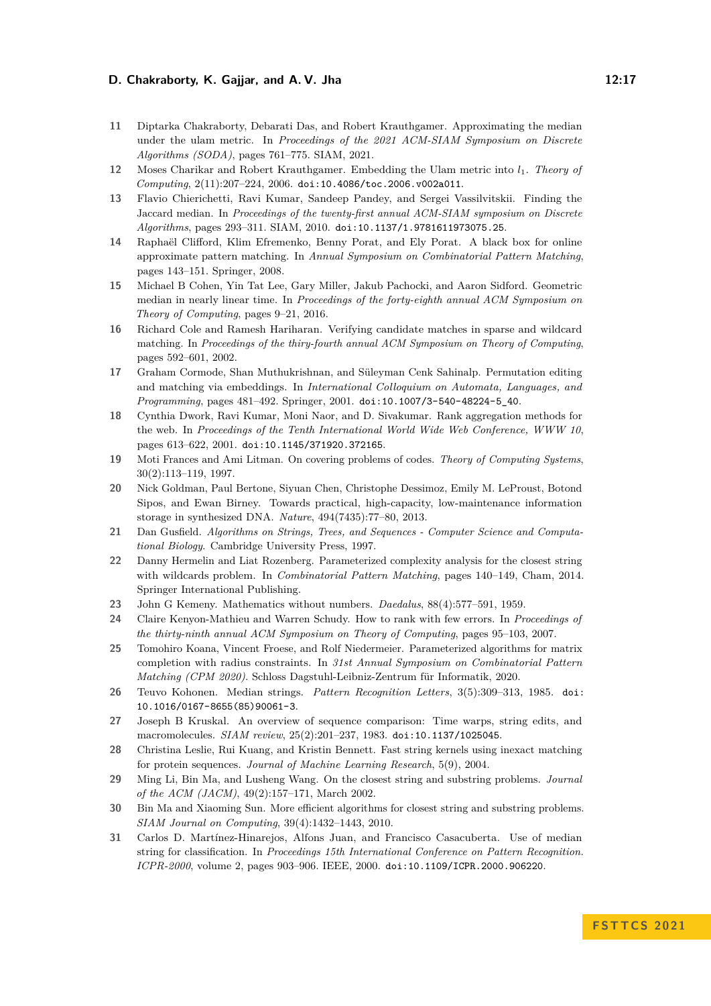- <span id="page-16-14"></span>**11** Diptarka Chakraborty, Debarati Das, and Robert Krauthgamer. Approximating the median under the ulam metric. In *Proceedings of the 2021 ACM-SIAM Symposium on Discrete Algorithms (SODA)*, pages 761–775. SIAM, 2021.
- <span id="page-16-13"></span>**12** Moses Charikar and Robert Krauthgamer. Embedding the Ulam metric into *l*1. *Theory of Computing*, 2(11):207–224, 2006. [doi:10.4086/toc.2006.v002a011](https://doi.org/10.4086/toc.2006.v002a011).
- <span id="page-16-7"></span>**13** Flavio Chierichetti, Ravi Kumar, Sandeep Pandey, and Sergei Vassilvitskii. Finding the Jaccard median. In *Proceedings of the twenty-first annual ACM-SIAM symposium on Discrete Algorithms*, pages 293–311. SIAM, 2010. [doi:10.1137/1.9781611973075.25](https://doi.org/10.1137/1.9781611973075.25).
- <span id="page-16-19"></span>**14** Raphaël Clifford, Klim Efremenko, Benny Porat, and Ely Porat. A black box for online approximate pattern matching. In *Annual Symposium on Combinatorial Pattern Matching*, pages 143–151. Springer, 2008.
- <span id="page-16-4"></span>**15** Michael B Cohen, Yin Tat Lee, Gary Miller, Jakub Pachocki, and Aaron Sidford. Geometric median in nearly linear time. In *Proceedings of the forty-eighth annual ACM Symposium on Theory of Computing*, pages 9–21, 2016.
- <span id="page-16-17"></span>**16** Richard Cole and Ramesh Hariharan. Verifying candidate matches in sparse and wildcard matching. In *Proceedings of the thiry-fourth annual ACM Symposium on Theory of Computing*, pages 592–601, 2002.
- <span id="page-16-12"></span>**17** Graham Cormode, Shan Muthukrishnan, and Süleyman Cenk Sahinalp. Permutation editing and matching via embeddings. In *International Colloquium on Automata, Languages, and Programming*, pages 481–492. Springer, 2001. [doi:10.1007/3-540-48224-5\\_40](https://doi.org/10.1007/3-540-48224-5_40).
- <span id="page-16-5"></span>**18** Cynthia Dwork, Ravi Kumar, Moni Naor, and D. Sivakumar. Rank aggregation methods for the web. In *Proceedings of the Tenth International World Wide Web Conference, WWW 10*, pages 613–622, 2001. [doi:10.1145/371920.372165](https://doi.org/10.1145/371920.372165).
- <span id="page-16-0"></span>**19** Moti Frances and Ami Litman. On covering problems of codes. *Theory of Computing Systems*, 30(2):113–119, 1997.
- <span id="page-16-9"></span>**20** Nick Goldman, Paul Bertone, Siyuan Chen, Christophe Dessimoz, Emily M. LeProust, Botond Sipos, and Ewan Birney. Towards practical, high-capacity, low-maintenance information storage in synthesized DNA. *Nature*, 494(7435):77–80, 2013.
- <span id="page-16-8"></span>**21** Dan Gusfield. *Algorithms on Strings, Trees, and Sequences - Computer Science and Computational Biology*. Cambridge University Press, 1997.
- <span id="page-16-3"></span>**22** Danny Hermelin and Liat Rozenberg. Parameterized complexity analysis for the closest string with wildcards problem. In *Combinatorial Pattern Matching*, pages 140–149, Cham, 2014. Springer International Publishing.
- <span id="page-16-15"></span>**23** John G Kemeny. Mathematics without numbers. *Daedalus*, 88(4):577–591, 1959.
- <span id="page-16-6"></span>**24** Claire Kenyon-Mathieu and Warren Schudy. How to rank with few errors. In *Proceedings of the thirty-ninth annual ACM Symposium on Theory of Computing*, pages 95–103, 2007.
- <span id="page-16-16"></span>**25** Tomohiro Koana, Vincent Froese, and Rolf Niedermeier. Parameterized algorithms for matrix completion with radius constraints. In *31st Annual Symposium on Combinatorial Pattern Matching (CPM 2020)*. Schloss Dagstuhl-Leibniz-Zentrum für Informatik, 2020.
- <span id="page-16-10"></span>**26** Teuvo Kohonen. Median strings. *Pattern Recognition Letters*, 3(5):309–313, 1985. [doi:](https://doi.org/10.1016/0167-8655(85)90061-3) [10.1016/0167-8655\(85\)90061-3](https://doi.org/10.1016/0167-8655(85)90061-3).
- <span id="page-16-20"></span>**27** Joseph B Kruskal. An overview of sequence comparison: Time warps, string edits, and macromolecules. *SIAM review*, 25(2):201–237, 1983. [doi:10.1137/1025045](https://doi.org/10.1137/1025045).
- <span id="page-16-18"></span>**28** Christina Leslie, Rui Kuang, and Kristin Bennett. Fast string kernels using inexact matching for protein sequences. *Journal of Machine Learning Research*, 5(9), 2004.
- <span id="page-16-1"></span>**29** Ming Li, Bin Ma, and Lusheng Wang. On the closest string and substring problems. *Journal of the ACM (JACM)*, 49(2):157–171, March 2002.
- <span id="page-16-2"></span>**30** Bin Ma and Xiaoming Sun. More efficient algorithms for closest string and substring problems. *SIAM Journal on Computing*, 39(4):1432–1443, 2010.
- <span id="page-16-11"></span>**31** Carlos D. Martínez-Hinarejos, Alfons Juan, and Francisco Casacuberta. Use of median string for classification. In *Proceedings 15th International Conference on Pattern Recognition. ICPR-2000*, volume 2, pages 903–906. IEEE, 2000. [doi:10.1109/ICPR.2000.906220](https://doi.org/10.1109/ICPR.2000.906220).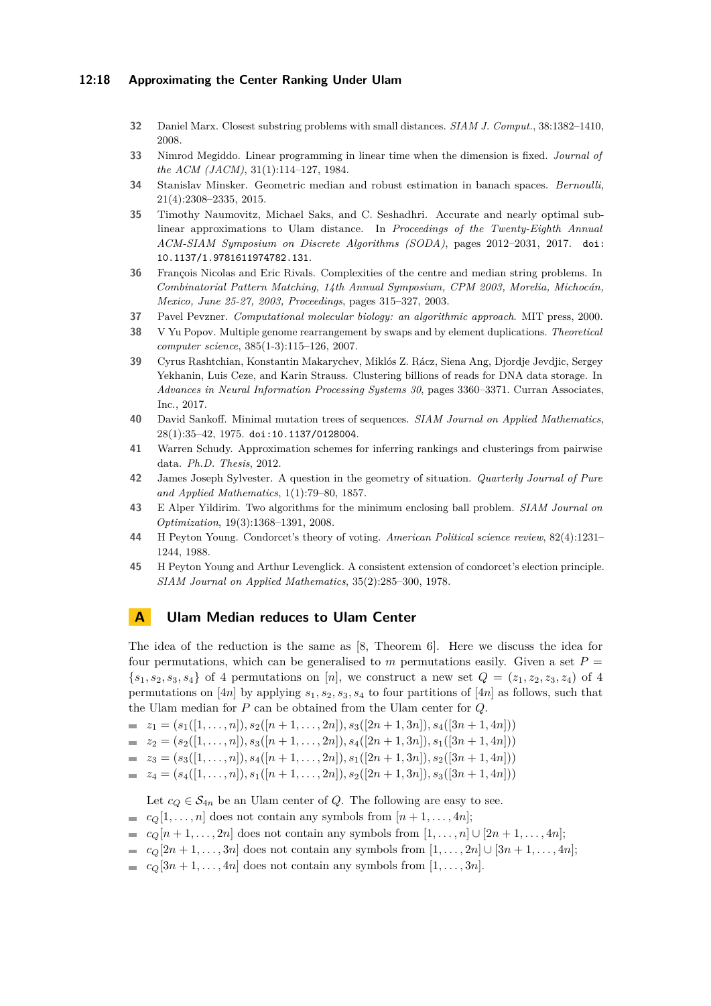#### **12:18 Approximating the Center Ranking Under Ulam**

- <span id="page-17-3"></span>**32** Daniel Marx. Closest substring problems with small distances. *SIAM J. Comput.*, 38:1382–1410, 2008.
- <span id="page-17-1"></span>**33** Nimrod Megiddo. Linear programming in linear time when the dimension is fixed. *Journal of the ACM (JACM)*, 31(1):114–127, 1984.
- <span id="page-17-8"></span>**34** Stanislav Minsker. Geometric median and robust estimation in banach spaces. *Bernoulli*, 21(4):2308–2335, 2015.
- <span id="page-17-11"></span>**35** Timothy Naumovitz, Michael Saks, and C. Seshadhri. Accurate and nearly optimal sublinear approximations to Ulam distance. In *Proceedings of the Twenty-Eighth Annual ACM-SIAM Symposium on Discrete Algorithms (SODA)*, pages 2012–2031, 2017. [doi:](https://doi.org/10.1137/1.9781611974782.131) [10.1137/1.9781611974782.131](https://doi.org/10.1137/1.9781611974782.131).
- <span id="page-17-4"></span>**36** François Nicolas and Eric Rivals. Complexities of the centre and median string problems. In *Combinatorial Pattern Matching, 14th Annual Symposium, CPM 2003, Morelia, Michocán, Mexico, June 25-27, 2003, Proceedings*, pages 315–327, 2003.
- <span id="page-17-9"></span>**37** Pavel Pevzner. *Computational molecular biology: an algorithmic approach*. MIT press, 2000.
- <span id="page-17-5"></span>**38** V Yu Popov. Multiple genome rearrangement by swaps and by element duplications. *Theoretical computer science*, 385(1-3):115–126, 2007.
- <span id="page-17-10"></span>**39** Cyrus Rashtchian, Konstantin Makarychev, Miklós Z. Rácz, Siena Ang, Djordje Jevdjic, Sergey Yekhanin, Luis Ceze, and Karin Strauss. Clustering billions of reads for DNA data storage. In *Advances in Neural Information Processing Systems 30*, pages 3360–3371. Curran Associates, Inc., 2017.
- <span id="page-17-6"></span>**40** David Sankoff. Minimal mutation trees of sequences. *SIAM Journal on Applied Mathematics*, 28(1):35–42, 1975. [doi:10.1137/0128004](https://doi.org/10.1137/0128004).
- <span id="page-17-7"></span>**41** Warren Schudy. Approximation schemes for inferring rankings and clusterings from pairwise data. *Ph.D. Thesis*, 2012.
- <span id="page-17-0"></span>**42** James Joseph Sylvester. A question in the geometry of situation. *Quarterly Journal of Pure and Applied Mathematics*, 1(1):79–80, 1857.
- <span id="page-17-2"></span>**43** E Alper Yildirim. Two algorithms for the minimum enclosing ball problem. *SIAM Journal on Optimization*, 19(3):1368–1391, 2008.
- <span id="page-17-13"></span>**44** H Peyton Young. Condorcet's theory of voting. *American Political science review*, 82(4):1231– 1244, 1988.
- <span id="page-17-14"></span>**45** H Peyton Young and Arthur Levenglick. A consistent extension of condorcet's election principle. *SIAM Journal on Applied Mathematics*, 35(2):285–300, 1978.

# <span id="page-17-12"></span>**A Ulam Median reduces to Ulam Center**

The idea of the reduction is the same as [\[8,](#page-15-3) Theorem 6]. Here we discuss the idea for four permutations, which can be generalised to  $m$  permutations easily. Given a set  $P =$  ${s_1, s_2, s_3, s_4}$  of 4 permutations on [*n*], we construct a new set  $Q = (z_1, z_2, z_3, z_4)$  of 4 permutations on [4*n*] by applying  $s_1, s_2, s_3, s_4$  to four partitions of [4*n*] as follows, such that the Ulam median for *P* can be obtained from the Ulam center for *Q*.

- $z_1 = (s_1([1,\ldots,n]), s_2([n+1,\ldots,2n]), s_3([2n+1,3n]), s_4([3n+1,4n]))$
- $z_2 = (s_2([1,\ldots,n]), s_3([n+1,\ldots,2n]), s_4([2n+1,3n]), s_1([3n+1,4n]))$
- $\mathbf{z}_3 = (s_3([1,\ldots,n]), s_4([n+1,\ldots,2n]), s_1([2n+1,3n]), s_2([3n+1,4n]))$
- $z_4 = (s_4([1,\ldots,n]), s_1([n+1,\ldots,2n]), s_2([2n+1,3n]), s_3([3n+1,4n]))$

Let  $c_Q \in \mathcal{S}_{4n}$  be an Ulam center of *Q*. The following are easy to see.

- $c_Q[1, \ldots, n]$  does not contain any symbols from  $[n+1, \ldots, 4n]$ ;
- $c_q[n+1,\ldots,2n]$  does not contain any symbols from  $[1,\ldots,n] \cup [2n+1,\ldots,4n]$ ;
- $c_Q[2n + 1, \ldots, 3n]$  does not contain any symbols from  $[1, \ldots, 2n]$  ∪  $[3n + 1, \ldots, 4n]$ ;
- $\bullet$  *c*<sub>Q</sub>[3*n* + 1, . . . , 4*n*] does not contain any symbols from [1, . . . , 3*n*].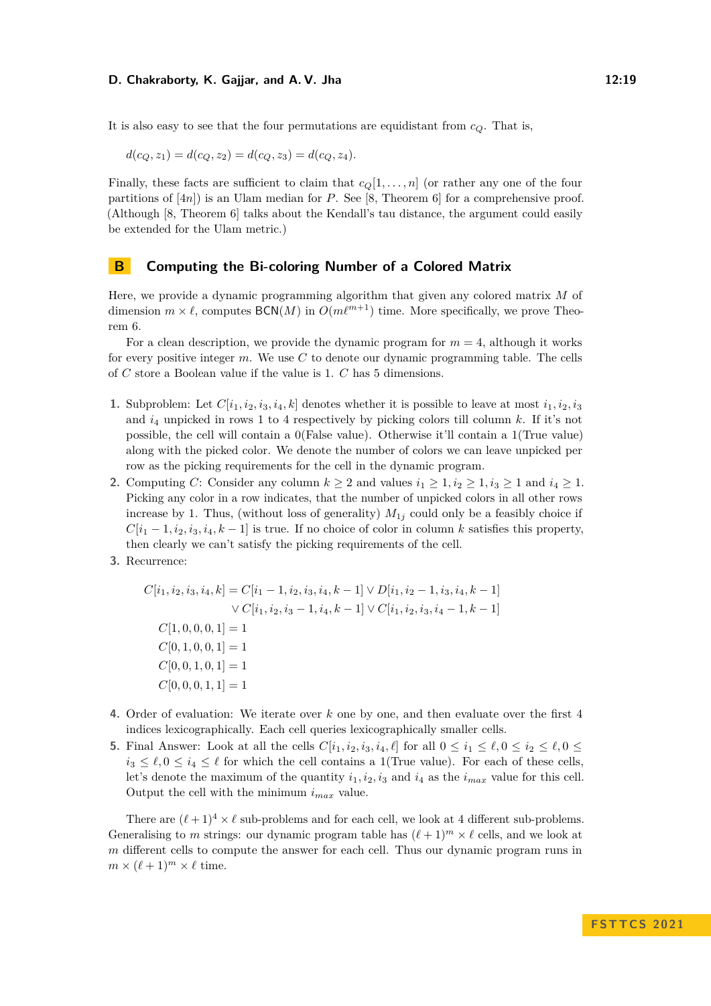It is also easy to see that the four permutations are equidistant from  $c_Q$ . That is,

$$
d(c_Q, z_1) = d(c_Q, z_2) = d(c_Q, z_3) = d(c_Q, z_4).
$$

Finally, these facts are sufficient to claim that  $c_0[1,\ldots,n]$  (or rather any one of the four partitions of [4*n*]) is an Ulam median for *P*. See [\[8,](#page-15-3) Theorem 6] for a comprehensive proof. (Although [\[8,](#page-15-3) Theorem 6] talks about the Kendall's tau distance, the argument could easily be extended for the Ulam metric.)

## <span id="page-18-0"></span>**B Computing the Bi-coloring Number of a Colored Matrix**

Here, we provide a dynamic programming algorithm that given any colored matrix *M* of dimension  $m \times \ell$ , computes BCN(*M*) in  $O(m\ell^{m+1})$  time. More specifically, we prove [Theo](#page-8-1)[rem 6.](#page-8-1)

For a clean description, we provide the dynamic program for *m* = 4, although it works for every positive integer *m*. We use *C* to denote our dynamic programming table. The cells of *C* store a Boolean value if the value is 1. *C* has 5 dimensions.

- **1.** Subproblem: Let  $C[i_1, i_2, i_3, i_4, k]$  denotes whether it is possible to leave at most  $i_1, i_2, i_3$ and *i*<sup>4</sup> unpicked in rows 1 to 4 respectively by picking colors till column *k*. If it's not possible, the cell will contain a 0(False value). Otherwise it'll contain a 1(True value) along with the picked color. We denote the number of colors we can leave unpicked per row as the picking requirements for the cell in the dynamic program.
- **2.** Computing *C*: Consider any column  $k \geq 2$  and values  $i_1 \geq 1, i_2 \geq 1, i_3 \geq 1$  and  $i_4 \geq 1$ . Picking any color in a row indicates, that the number of unpicked colors in all other rows increase by 1. Thus, (without loss of generality)  $M_{1j}$  could only be a feasibly choice if  $C[i_1 - 1, i_2, i_3, i_4, k - 1]$  is true. If no choice of color in column *k* satisfies this property, then clearly we can't satisfy the picking requirements of the cell.
- **3.** Recurrence:

$$
C[i_1, i_2, i_3, i_4, k] = C[i_1 - 1, i_2, i_3, i_4, k - 1] \vee D[i_1, i_2 - 1, i_3, i_4, k - 1]
$$

$$
\vee C[i_1, i_2, i_3 - 1, i_4, k - 1] \vee C[i_1, i_2, i_3, i_4 - 1, k - 1]
$$

$$
C[1, 0, 0, 0, 1] = 1
$$

$$
C[0, 1, 0, 0, 1] = 1
$$

$$
C[0, 0, 1, 0, 1] = 1
$$

$$
C[0, 0, 0, 1, 1] = 1
$$

- **4.** Order of evaluation: We iterate over *k* one by one, and then evaluate over the first 4 indices lexicographically. Each cell queries lexicographically smaller cells.
- **5.** Final Answer: Look at all the cells  $C[i_1, i_2, i_3, i_4, \ell]$  for all  $0 \leq i_1 \leq \ell, 0 \leq i_2 \leq \ell, 0 \leq \ell$  $i_3 \leq \ell, 0 \leq i_4 \leq \ell$  for which the cell contains a 1(True value). For each of these cells, let's denote the maximum of the quantity  $i_1, i_2, i_3$  and  $i_4$  as the  $i_{max}$  value for this cell. Output the cell with the minimum *imax* value.

There are  $(\ell + 1)^4 \times \ell$  sub-problems and for each cell, we look at 4 different sub-problems. Generalising to *m* strings: our dynamic program table has  $(\ell + 1)^m \times \ell$  cells, and we look at *m* different cells to compute the answer for each cell. Thus our dynamic program runs in  $m \times (\ell+1)^m \times \ell$  time.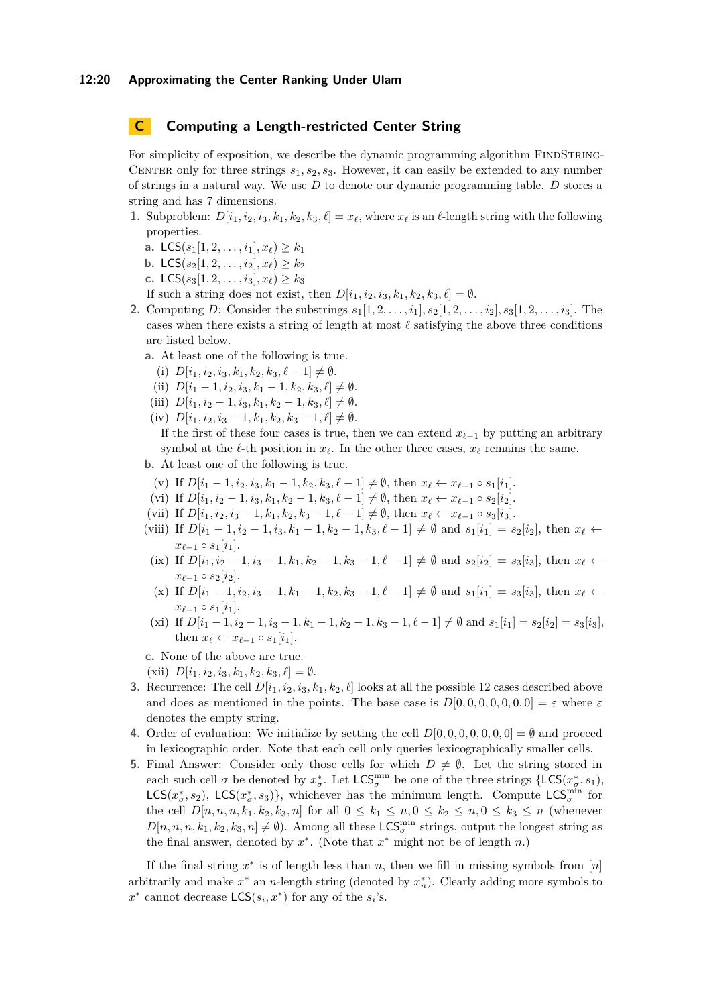# <span id="page-19-0"></span>**C Computing a Length-restricted Center String**

For simplicity of exposition, we describe the dynamic programming algorithm FINDSTRING-CENTER only for three strings  $s_1, s_2, s_3$ . However, it can easily be extended to any number of strings in a natural way. We use *D* to denote our dynamic programming table. *D* stores a string and has 7 dimensions.

- **1.** Subproblem:  $D[i_1, i_2, i_3, k_1, k_2, k_3, \ell] = x_\ell$ , where  $x_\ell$  is an  $\ell$ -length string with the following properties.
	- **a.** LCS( $s_1$ [1, 2, . . . ,  $i_1$ ],  $x_\ell$ )  $\geq k_1$
	- **b.** LCS $(s_2[1, 2, \ldots, i_2], x_\ell) \geq k_2$
	- **c.** LCS( $s_3[1, 2, \ldots, i_3], x_\ell \geq k_3$

If such a string does not exist, then  $D[i_1, i_2, i_3, k_1, k_2, k_3, \ell] = \emptyset$ .

- **2.** Computing *D*: Consider the substrings  $s_1[1, 2, \ldots, i_1], s_2[1, 2, \ldots, i_2], s_3[1, 2, \ldots, i_3]$ . The cases when there exists a string of length at most *ℓ* satisfying the above three conditions are listed below.
	- **a.** At least one of the following is true.
		- (i)  $D[i_1, i_2, i_3, k_1, k_2, k_3, \ell-1] \neq \emptyset$ .
		- (ii)  $D[i_1 1, i_2, i_3, k_1 1, k_2, k_3, \ell] \neq \emptyset$ .
	- (iii)  $D[i_1, i_2 1, i_3, k_1, k_2 1, k_3, \ell] \neq \emptyset$ .
	- $(iv)$   $D[i_1, i_2, i_3 1, k_1, k_2, k_3 1, \ell] \neq \emptyset$ .

If the first of these four cases is true, then we can extend  $x_{\ell-1}$  by putting an arbitrary symbol at the  $\ell$ -th position in  $x_{\ell}$ . In the other three cases,  $x_{\ell}$  remains the same.

**b.** At least one of the following is true.

- (v) If  $D[i_1 1, i_2, i_3, k_1 1, k_2, k_3, \ell 1] \neq \emptyset$ , then  $x_{\ell} \leftarrow x_{\ell-1} \circ s_1[i_1]$ .
- (vi) If  $D[i_1, i_2 1, i_3, k_1, k_2 1, k_3, \ell 1] \neq \emptyset$ , then  $x_{\ell} \leftarrow x_{\ell-1} \circ s_2[i_2]$ .
- (vii) If  $D[i_1, i_2, i_3 1, k_1, k_2, k_3 1, \ell 1] \neq \emptyset$ , then  $x_{\ell} \leftarrow x_{\ell-1} \circ s_3[i_3]$ .
- (viii) If  $D[i_1 1, i_2 1, i_3, k_1 1, k_2 1, k_3, \ell 1] \neq \emptyset$  and  $s_1[i_1] = s_2[i_2]$ , then  $x_{\ell} \leftarrow$  $x_{\ell-1} \circ s_1[i_1].$
- (ix) If  $D[i_1, i_2 1, i_3 1, k_1, k_2 1, k_3 1, \ell 1] \neq \emptyset$  and  $s_2[i_2] = s_3[i_3]$ , then  $x_{\ell}$  $x_{\ell-1} \circ s_2[i_2].$
- (x) If  $D[i_1 1, i_2, i_3 1, k_1 1, k_2, k_3 1, \ell 1] \neq \emptyset$  and  $s_1[i_1] = s_3[i_3]$ , then  $x_{\ell} \leftarrow$  $x_{\ell-1} \circ s_1[i_1].$
- (xi) If  $D[i_1 1, i_2 1, i_3 1, k_1 1, k_2 1, k_3 1, \ell 1] \neq \emptyset$  and  $s_1[i_1] = s_2[i_2] = s_3[i_3]$ , then  $x_{\ell} \leftarrow x_{\ell-1} \circ s_1[i_1].$

**c.** None of the above are true.

 $(Xii)$   $D[i_1, i_2, i_3, k_1, k_2, k_3, \ell] = \emptyset.$ 

- **3.** Recurrence: The cell  $D[i_1, i_2, i_3, k_1, k_2, \ell]$  looks at all the possible 12 cases described above and does as mentioned in the points. The base case is  $D[0, 0, 0, 0, 0, 0, 0] = \varepsilon$  where  $\varepsilon$ denotes the empty string.
- **4.** Order of evaluation: We initialize by setting the cell  $D[0, 0, 0, 0, 0, 0, 0] = \emptyset$  and proceed in lexicographic order. Note that each cell only queries lexicographically smaller cells.
- **5.** Final Answer: Consider only those cells for which  $D \neq \emptyset$ . Let the string stored in each such cell  $\sigma$  be denoted by  $x^*_{\sigma}$ . Let  $\mathsf{LCS}_{\sigma}^{\min}$  be one of the three strings  $\{\mathsf{LCS}}(x^*_{\sigma}, s_1),$ LCS( $x^*_\sigma, s_2$ ), LCS( $x^*_\sigma, s_3$ )}, whichever has the minimum length. Compute LCS $^{\min}_{\sigma}$  for the cell  $D[n, n, n, k_1, k_2, k_3, n]$  for all  $0 \le k_1 \le n, 0 \le k_2 \le n, 0 \le k_3 \le n$  (whenever  $D[n, n, n, k_1, k_2, k_3, n] \neq \emptyset$ . Among all these  $\mathsf{LCS}_\sigma^{\min}$  strings, output the longest string as the final answer, denoted by  $x^*$ . (Note that  $x^*$  might not be of length  $n$ .)

If the final string  $x^*$  is of length less than  $n$ , then we fill in missing symbols from  $[n]$ arbitrarily and make  $x^*$  an *n*-length string (denoted by  $x_n^*$ ). Clearly adding more symbols to  $x^*$  cannot decrease  $\textsf{LCS}(s_i, x^*)$  for any of the  $s_i$ 's.